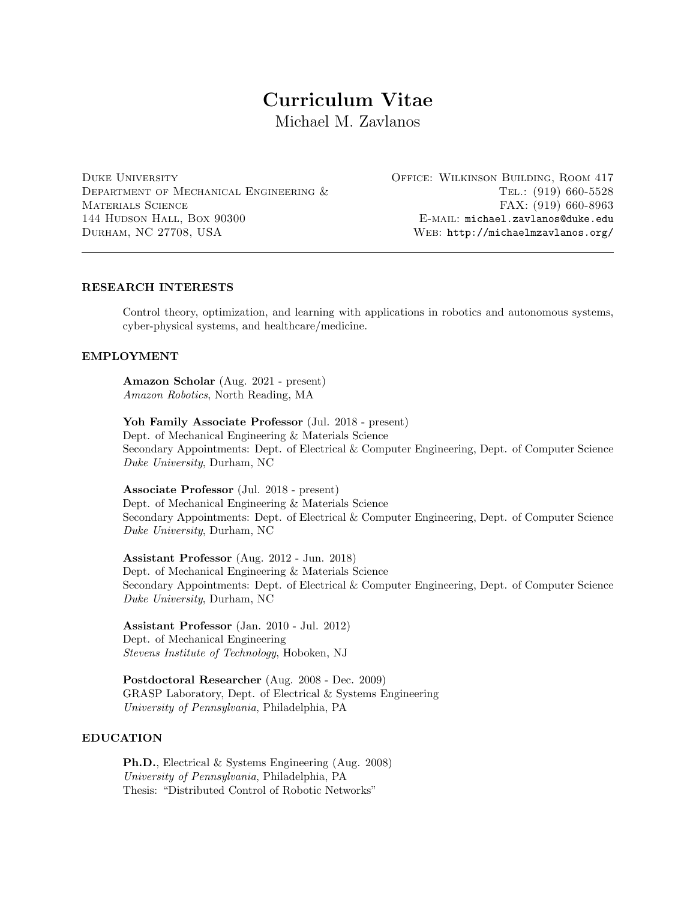# Curriculum Vitae

Michael M. Zavlanos

Duke University Department of Mechanical Engineering & Materials Science 144 Hudson Hall, Box 90300 Durham, NC 27708, USA

Office: Wilkinson Building, Room 417 Tel.: (919) 660-5528 FAX: (919) 660-8963 E-mail: michael.zavlanos@duke.edu Web: http://michaelmzavlanos.org/

# RESEARCH INTERESTS

Control theory, optimization, and learning with applications in robotics and autonomous systems, cyber-physical systems, and healthcare/medicine.

# EMPLOYMENT

Amazon Scholar (Aug. 2021 - present) Amazon Robotics, North Reading, MA

Yoh Family Associate Professor (Jul. 2018 - present) Dept. of Mechanical Engineering & Materials Science Secondary Appointments: Dept. of Electrical & Computer Engineering, Dept. of Computer Science Duke University, Durham, NC

Associate Professor (Jul. 2018 - present) Dept. of Mechanical Engineering & Materials Science Secondary Appointments: Dept. of Electrical & Computer Engineering, Dept. of Computer Science Duke University, Durham, NC

Assistant Professor (Aug. 2012 - Jun. 2018) Dept. of Mechanical Engineering & Materials Science Secondary Appointments: Dept. of Electrical & Computer Engineering, Dept. of Computer Science Duke University, Durham, NC

Assistant Professor (Jan. 2010 - Jul. 2012) Dept. of Mechanical Engineering Stevens Institute of Technology, Hoboken, NJ

Postdoctoral Researcher (Aug. 2008 - Dec. 2009) GRASP Laboratory, Dept. of Electrical & Systems Engineering University of Pennsylvania, Philadelphia, PA

# EDUCATION

Ph.D., Electrical & Systems Engineering (Aug. 2008) University of Pennsylvania, Philadelphia, PA Thesis: "Distributed Control of Robotic Networks"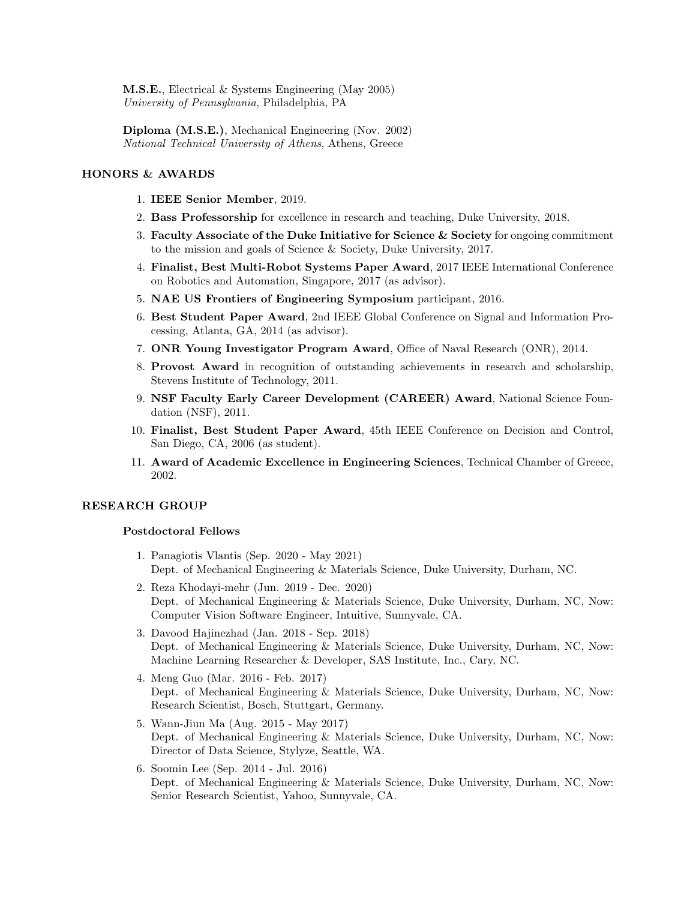M.S.E., Electrical & Systems Engineering (May 2005) University of Pennsylvania, Philadelphia, PA

Diploma (M.S.E.), Mechanical Engineering (Nov. 2002) National Technical University of Athens, Athens, Greece

# HONORS & AWARDS

- 1. IEEE Senior Member, 2019.
- 2. Bass Professorship for excellence in research and teaching, Duke University, 2018.
- 3. Faculty Associate of the Duke Initiative for Science  $&$  Society for ongoing commitment to the mission and goals of Science & Society, Duke University, 2017.
- 4. Finalist, Best Multi-Robot Systems Paper Award, 2017 IEEE International Conference on Robotics and Automation, Singapore, 2017 (as advisor).
- 5. NAE US Frontiers of Engineering Symposium participant, 2016.
- 6. Best Student Paper Award, 2nd IEEE Global Conference on Signal and Information Processing, Atlanta, GA, 2014 (as advisor).
- 7. ONR Young Investigator Program Award, Office of Naval Research (ONR), 2014.
- 8. Provost Award in recognition of outstanding achievements in research and scholarship, Stevens Institute of Technology, 2011.
- 9. NSF Faculty Early Career Development (CAREER) Award, National Science Foundation (NSF), 2011.
- 10. Finalist, Best Student Paper Award, 45th IEEE Conference on Decision and Control, San Diego, CA, 2006 (as student).
- 11. Award of Academic Excellence in Engineering Sciences, Technical Chamber of Greece, 2002.

## RESEARCH GROUP

## Postdoctoral Fellows

- 1. Panagiotis Vlantis (Sep. 2020 May 2021) Dept. of Mechanical Engineering & Materials Science, Duke University, Durham, NC.
- 2. Reza Khodayi-mehr (Jun. 2019 Dec. 2020) Dept. of Mechanical Engineering & Materials Science, Duke University, Durham, NC, Now: Computer Vision Software Engineer, Intuitive, Sunnyvale, CA.
- 3. Davood Hajinezhad (Jan. 2018 Sep. 2018) Dept. of Mechanical Engineering & Materials Science, Duke University, Durham, NC, Now: Machine Learning Researcher & Developer, SAS Institute, Inc., Cary, NC.
- 4. Meng Guo (Mar. 2016 Feb. 2017) Dept. of Mechanical Engineering & Materials Science, Duke University, Durham, NC, Now: Research Scientist, Bosch, Stuttgart, Germany.
- 5. Wann-Jiun Ma (Aug. 2015 May 2017) Dept. of Mechanical Engineering & Materials Science, Duke University, Durham, NC, Now: Director of Data Science, Stylyze, Seattle, WA.
- 6. Soomin Lee (Sep. 2014 Jul. 2016) Dept. of Mechanical Engineering & Materials Science, Duke University, Durham, NC, Now: Senior Research Scientist, Yahoo, Sunnyvale, CA.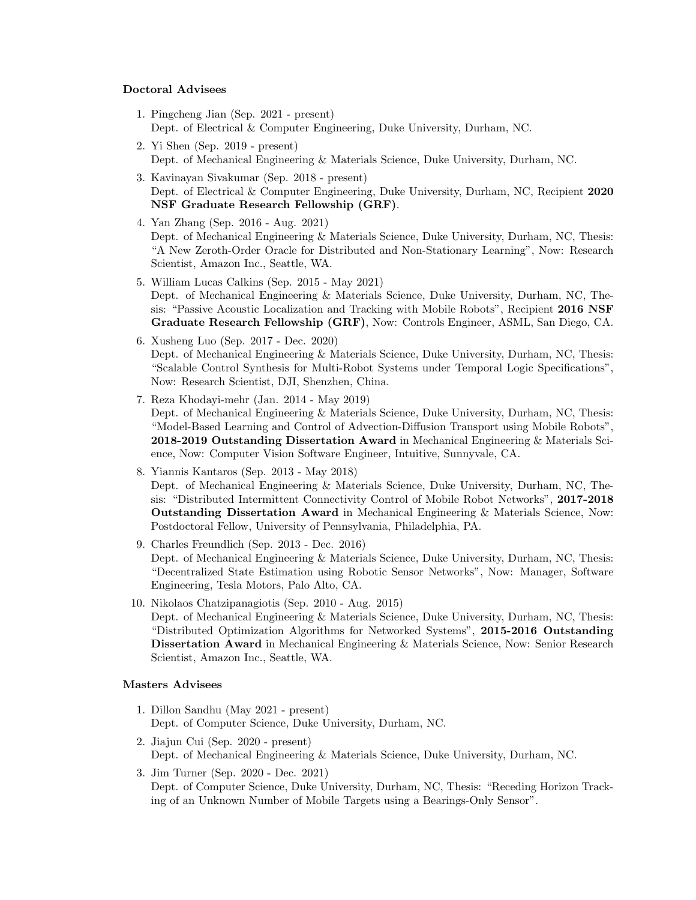## Doctoral Advisees

- 1. Pingcheng Jian (Sep. 2021 present) Dept. of Electrical & Computer Engineering, Duke University, Durham, NC.
- 2. Yi Shen (Sep. 2019 present) Dept. of Mechanical Engineering & Materials Science, Duke University, Durham, NC.
- 3. Kavinayan Sivakumar (Sep. 2018 present) Dept. of Electrical & Computer Engineering, Duke University, Durham, NC, Recipient 2020 NSF Graduate Research Fellowship (GRF).
- 4. Yan Zhang (Sep. 2016 Aug. 2021) Dept. of Mechanical Engineering & Materials Science, Duke University, Durham, NC, Thesis: "A New Zeroth-Order Oracle for Distributed and Non-Stationary Learning", Now: Research Scientist, Amazon Inc., Seattle, WA.
- 5. William Lucas Calkins (Sep. 2015 May 2021) Dept. of Mechanical Engineering & Materials Science, Duke University, Durham, NC, Thesis: "Passive Acoustic Localization and Tracking with Mobile Robots", Recipient 2016 NSF Graduate Research Fellowship (GRF), Now: Controls Engineer, ASML, San Diego, CA.
- 6. Xusheng Luo (Sep. 2017 Dec. 2020) Dept. of Mechanical Engineering & Materials Science, Duke University, Durham, NC, Thesis: "Scalable Control Synthesis for Multi-Robot Systems under Temporal Logic Specifications", Now: Research Scientist, DJI, Shenzhen, China.
- 7. Reza Khodayi-mehr (Jan. 2014 May 2019) Dept. of Mechanical Engineering & Materials Science, Duke University, Durham, NC, Thesis: "Model-Based Learning and Control of Advection-Diffusion Transport using Mobile Robots", 2018-2019 Outstanding Dissertation Award in Mechanical Engineering & Materials Science, Now: Computer Vision Software Engineer, Intuitive, Sunnyvale, CA.
- 8. Yiannis Kantaros (Sep. 2013 May 2018) Dept. of Mechanical Engineering & Materials Science, Duke University, Durham, NC, Thesis: "Distributed Intermittent Connectivity Control of Mobile Robot Networks", 2017-2018 Outstanding Dissertation Award in Mechanical Engineering & Materials Science, Now: Postdoctoral Fellow, University of Pennsylvania, Philadelphia, PA.
- 9. Charles Freundlich (Sep. 2013 Dec. 2016) Dept. of Mechanical Engineering & Materials Science, Duke University, Durham, NC, Thesis: "Decentralized State Estimation using Robotic Sensor Networks", Now: Manager, Software Engineering, Tesla Motors, Palo Alto, CA.
- 10. Nikolaos Chatzipanagiotis (Sep. 2010 Aug. 2015) Dept. of Mechanical Engineering & Materials Science, Duke University, Durham, NC, Thesis: "Distributed Optimization Algorithms for Networked Systems", 2015-2016 Outstanding Dissertation Award in Mechanical Engineering & Materials Science, Now: Senior Research Scientist, Amazon Inc., Seattle, WA.

## Masters Advisees

- 1. Dillon Sandhu (May 2021 present) Dept. of Computer Science, Duke University, Durham, NC.
- 2. Jiajun Cui (Sep. 2020 present) Dept. of Mechanical Engineering & Materials Science, Duke University, Durham, NC.
- 3. Jim Turner (Sep. 2020 Dec. 2021) Dept. of Computer Science, Duke University, Durham, NC, Thesis: "Receding Horizon Tracking of an Unknown Number of Mobile Targets using a Bearings-Only Sensor".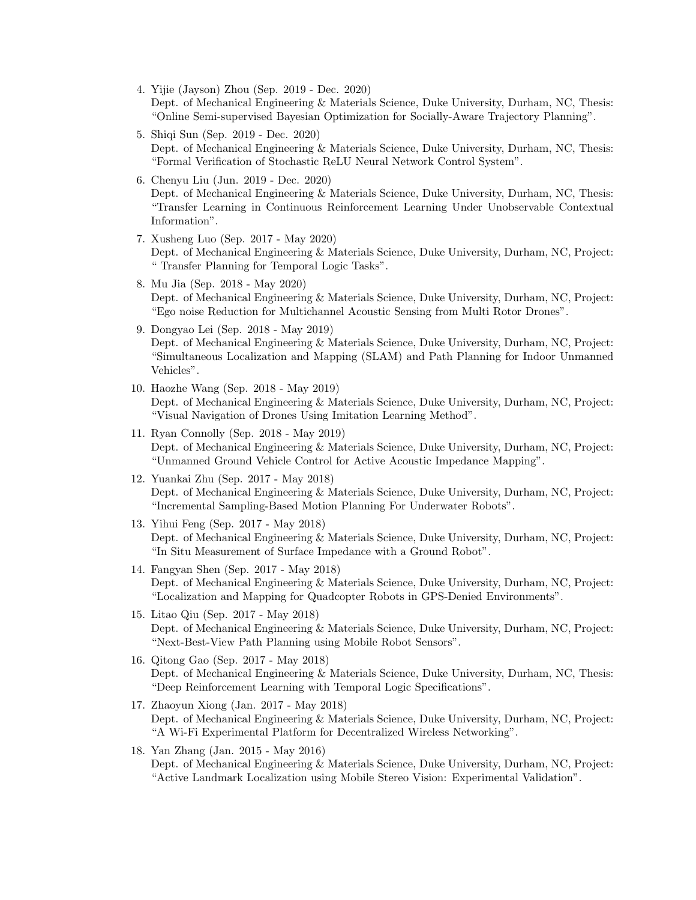- 4. Yijie (Jayson) Zhou (Sep. 2019 Dec. 2020) Dept. of Mechanical Engineering & Materials Science, Duke University, Durham, NC, Thesis: "Online Semi-supervised Bayesian Optimization for Socially-Aware Trajectory Planning".
- 5. Shiqi Sun (Sep. 2019 Dec. 2020) Dept. of Mechanical Engineering & Materials Science, Duke University, Durham, NC, Thesis: "Formal Verification of Stochastic ReLU Neural Network Control System".
- 6. Chenyu Liu (Jun. 2019 Dec. 2020) Dept. of Mechanical Engineering & Materials Science, Duke University, Durham, NC, Thesis: "Transfer Learning in Continuous Reinforcement Learning Under Unobservable Contextual Information".
- 7. Xusheng Luo (Sep. 2017 May 2020) Dept. of Mechanical Engineering & Materials Science, Duke University, Durham, NC, Project: " Transfer Planning for Temporal Logic Tasks".
- 8. Mu Jia (Sep. 2018 May 2020) Dept. of Mechanical Engineering & Materials Science, Duke University, Durham, NC, Project: "Ego noise Reduction for Multichannel Acoustic Sensing from Multi Rotor Drones".
- 9. Dongyao Lei (Sep. 2018 May 2019) Dept. of Mechanical Engineering & Materials Science, Duke University, Durham, NC, Project: "Simultaneous Localization and Mapping (SLAM) and Path Planning for Indoor Unmanned Vehicles".
- 10. Haozhe Wang (Sep. 2018 May 2019) Dept. of Mechanical Engineering & Materials Science, Duke University, Durham, NC, Project: "Visual Navigation of Drones Using Imitation Learning Method".
- 11. Ryan Connolly (Sep. 2018 May 2019) Dept. of Mechanical Engineering & Materials Science, Duke University, Durham, NC, Project: "Unmanned Ground Vehicle Control for Active Acoustic Impedance Mapping".
- 12. Yuankai Zhu (Sep. 2017 May 2018) Dept. of Mechanical Engineering & Materials Science, Duke University, Durham, NC, Project: "Incremental Sampling-Based Motion Planning For Underwater Robots".
- 13. Yihui Feng (Sep. 2017 May 2018) Dept. of Mechanical Engineering & Materials Science, Duke University, Durham, NC, Project: "In Situ Measurement of Surface Impedance with a Ground Robot".
- 14. Fangyan Shen (Sep. 2017 May 2018) Dept. of Mechanical Engineering & Materials Science, Duke University, Durham, NC, Project: "Localization and Mapping for Quadcopter Robots in GPS-Denied Environments".
- 15. Litao Qiu (Sep. 2017 May 2018) Dept. of Mechanical Engineering & Materials Science, Duke University, Durham, NC, Project: "Next-Best-View Path Planning using Mobile Robot Sensors".
- 16. Qitong Gao (Sep. 2017 May 2018) Dept. of Mechanical Engineering & Materials Science, Duke University, Durham, NC, Thesis: "Deep Reinforcement Learning with Temporal Logic Specifications".
- 17. Zhaoyun Xiong (Jan. 2017 May 2018) Dept. of Mechanical Engineering & Materials Science, Duke University, Durham, NC, Project: "A Wi-Fi Experimental Platform for Decentralized Wireless Networking".
- 18. Yan Zhang (Jan. 2015 May 2016) Dept. of Mechanical Engineering & Materials Science, Duke University, Durham, NC, Project: "Active Landmark Localization using Mobile Stereo Vision: Experimental Validation".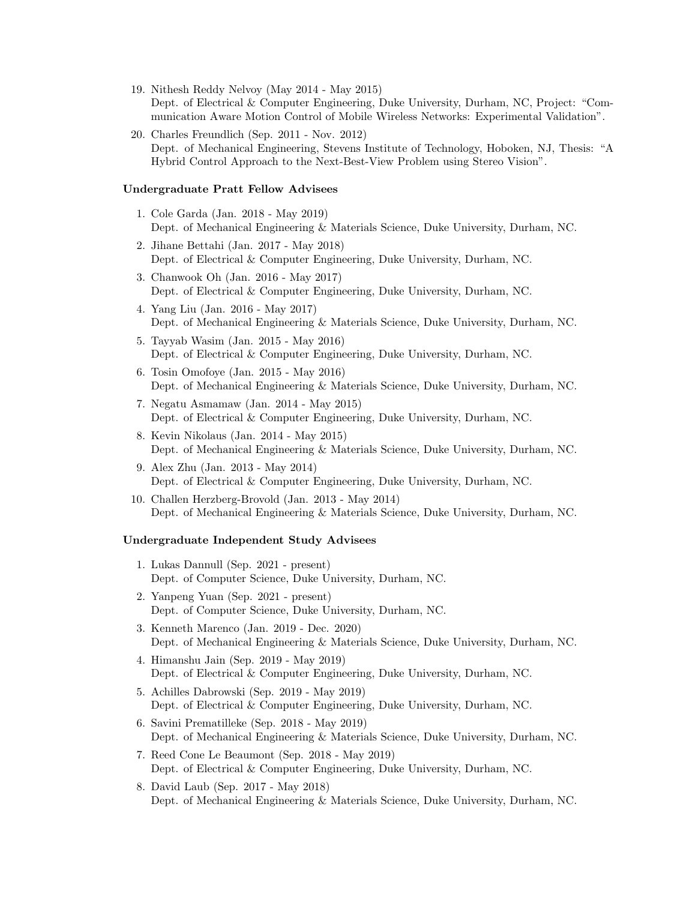- 19. Nithesh Reddy Nelvoy (May 2014 May 2015) Dept. of Electrical & Computer Engineering, Duke University, Durham, NC, Project: "Communication Aware Motion Control of Mobile Wireless Networks: Experimental Validation".
- 20. Charles Freundlich (Sep. 2011 Nov. 2012) Dept. of Mechanical Engineering, Stevens Institute of Technology, Hoboken, NJ, Thesis: "A Hybrid Control Approach to the Next-Best-View Problem using Stereo Vision".

#### Undergraduate Pratt Fellow Advisees

- 1. Cole Garda (Jan. 2018 May 2019) Dept. of Mechanical Engineering & Materials Science, Duke University, Durham, NC.
- 2. Jihane Bettahi (Jan. 2017 May 2018) Dept. of Electrical & Computer Engineering, Duke University, Durham, NC.
- 3. Chanwook Oh (Jan. 2016 May 2017) Dept. of Electrical & Computer Engineering, Duke University, Durham, NC.
- 4. Yang Liu (Jan. 2016 May 2017) Dept. of Mechanical Engineering & Materials Science, Duke University, Durham, NC.
- 5. Tayyab Wasim (Jan. 2015 May 2016) Dept. of Electrical & Computer Engineering, Duke University, Durham, NC.
- 6. Tosin Omofoye (Jan. 2015 May 2016) Dept. of Mechanical Engineering & Materials Science, Duke University, Durham, NC.
- 7. Negatu Asmamaw (Jan. 2014 May 2015) Dept. of Electrical & Computer Engineering, Duke University, Durham, NC.
- 8. Kevin Nikolaus (Jan. 2014 May 2015) Dept. of Mechanical Engineering & Materials Science, Duke University, Durham, NC.
- 9. Alex Zhu (Jan. 2013 May 2014) Dept. of Electrical & Computer Engineering, Duke University, Durham, NC.
- 10. Challen Herzberg-Brovold (Jan. 2013 May 2014) Dept. of Mechanical Engineering & Materials Science, Duke University, Durham, NC.

#### Undergraduate Independent Study Advisees

- 1. Lukas Dannull (Sep. 2021 present) Dept. of Computer Science, Duke University, Durham, NC.
- 2. Yanpeng Yuan (Sep. 2021 present) Dept. of Computer Science, Duke University, Durham, NC.
- 3. Kenneth Marenco (Jan. 2019 Dec. 2020) Dept. of Mechanical Engineering & Materials Science, Duke University, Durham, NC.
- 4. Himanshu Jain (Sep. 2019 May 2019) Dept. of Electrical & Computer Engineering, Duke University, Durham, NC.
- 5. Achilles Dabrowski (Sep. 2019 May 2019) Dept. of Electrical & Computer Engineering, Duke University, Durham, NC.
- 6. Savini Prematilleke (Sep. 2018 May 2019) Dept. of Mechanical Engineering & Materials Science, Duke University, Durham, NC.
- 7. Reed Cone Le Beaumont (Sep. 2018 May 2019) Dept. of Electrical & Computer Engineering, Duke University, Durham, NC.
- 8. David Laub (Sep. 2017 May 2018) Dept. of Mechanical Engineering & Materials Science, Duke University, Durham, NC.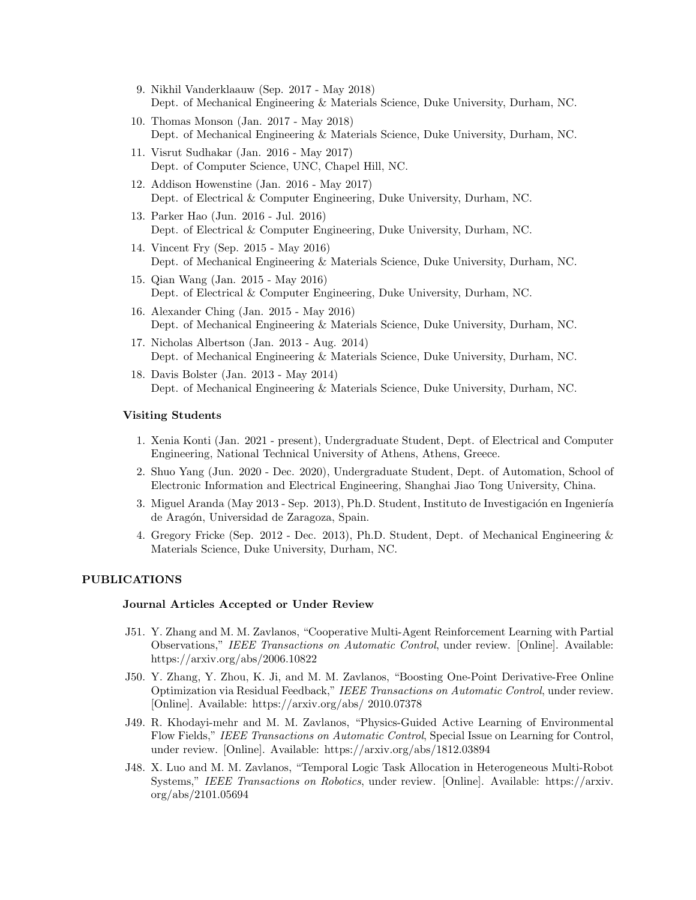- 9. Nikhil Vanderklaauw (Sep. 2017 May 2018) Dept. of Mechanical Engineering & Materials Science, Duke University, Durham, NC.
- 10. Thomas Monson (Jan. 2017 May 2018) Dept. of Mechanical Engineering & Materials Science, Duke University, Durham, NC.
- 11. Visrut Sudhakar (Jan. 2016 May 2017) Dept. of Computer Science, UNC, Chapel Hill, NC.
- 12. Addison Howenstine (Jan. 2016 May 2017) Dept. of Electrical & Computer Engineering, Duke University, Durham, NC.
- 13. Parker Hao (Jun. 2016 Jul. 2016) Dept. of Electrical & Computer Engineering, Duke University, Durham, NC.
- 14. Vincent Fry (Sep. 2015 May 2016) Dept. of Mechanical Engineering & Materials Science, Duke University, Durham, NC.
- 15. Qian Wang (Jan. 2015 May 2016) Dept. of Electrical & Computer Engineering, Duke University, Durham, NC.
- 16. Alexander Ching (Jan. 2015 May 2016) Dept. of Mechanical Engineering & Materials Science, Duke University, Durham, NC.
- 17. Nicholas Albertson (Jan. 2013 Aug. 2014) Dept. of Mechanical Engineering & Materials Science, Duke University, Durham, NC.
- 18. Davis Bolster (Jan. 2013 May 2014) Dept. of Mechanical Engineering & Materials Science, Duke University, Durham, NC.

### Visiting Students

- 1. Xenia Konti (Jan. 2021 present), Undergraduate Student, Dept. of Electrical and Computer Engineering, National Technical University of Athens, Athens, Greece.
- 2. Shuo Yang (Jun. 2020 Dec. 2020), Undergraduate Student, Dept. of Automation, School of Electronic Information and Electrical Engineering, Shanghai Jiao Tong University, China.
- 3. Miguel Aranda (May 2013 Sep. 2013), Ph.D. Student, Instituto de Investigación en Ingeniería de Aragón, Universidad de Zaragoza, Spain.
- 4. Gregory Fricke (Sep. 2012 Dec. 2013), Ph.D. Student, Dept. of Mechanical Engineering & Materials Science, Duke University, Durham, NC.

# PUBLICATIONS

## Journal Articles Accepted or Under Review

- J51. Y. Zhang and M. M. Zavlanos, "Cooperative Multi-Agent Reinforcement Learning with Partial Observations," IEEE Transactions on Automatic Control, under review. [Online]. Available: https://arxiv.org/abs/2006.10822
- J50. Y. Zhang, Y. Zhou, K. Ji, and M. M. Zavlanos, "Boosting One-Point Derivative-Free Online Optimization via Residual Feedback," IEEE Transactions on Automatic Control, under review. [Online]. Available: https://arxiv.org/abs/ 2010.07378
- J49. R. Khodayi-mehr and M. M. Zavlanos, "Physics-Guided Active Learning of Environmental Flow Fields," IEEE Transactions on Automatic Control, Special Issue on Learning for Control, under review. [Online]. Available: https://arxiv.org/abs/1812.03894
- J48. X. Luo and M. M. Zavlanos, "Temporal Logic Task Allocation in Heterogeneous Multi-Robot Systems," IEEE Transactions on Robotics, under review. [Online]. Available: https://arxiv. org/abs/2101.05694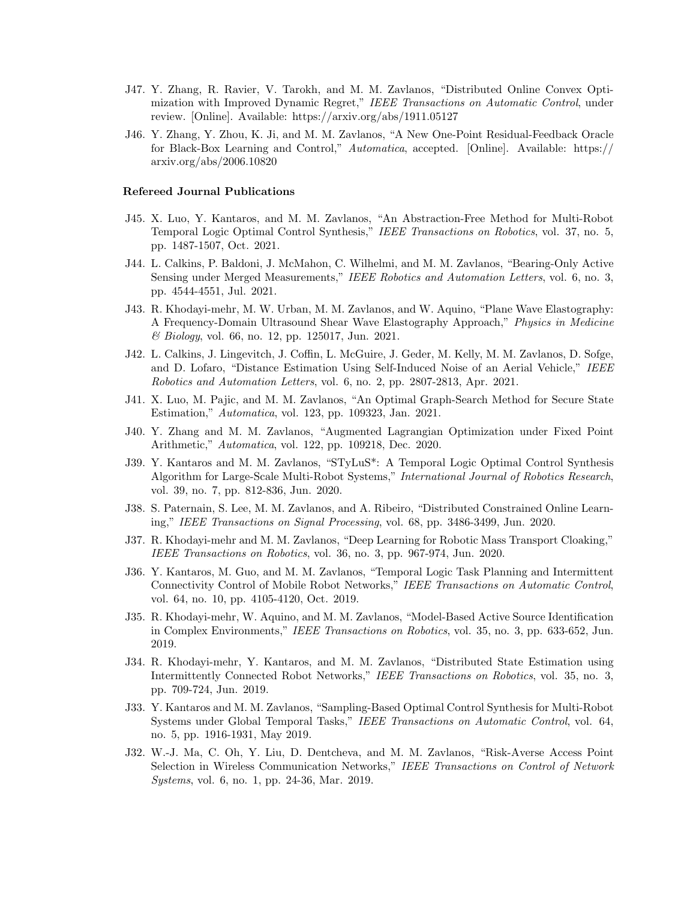- J47. Y. Zhang, R. Ravier, V. Tarokh, and M. M. Zavlanos, "Distributed Online Convex Optimization with Improved Dynamic Regret," IEEE Transactions on Automatic Control, under review. [Online]. Available: https://arxiv.org/abs/1911.05127
- J46. Y. Zhang, Y. Zhou, K. Ji, and M. M. Zavlanos, "A New One-Point Residual-Feedback Oracle for Black-Box Learning and Control," Automatica, accepted. [Online]. Available: https:// arxiv.org/abs/2006.10820

#### Refereed Journal Publications

- J45. X. Luo, Y. Kantaros, and M. M. Zavlanos, "An Abstraction-Free Method for Multi-Robot Temporal Logic Optimal Control Synthesis," IEEE Transactions on Robotics, vol. 37, no. 5, pp. 1487-1507, Oct. 2021.
- J44. L. Calkins, P. Baldoni, J. McMahon, C. Wilhelmi, and M. M. Zavlanos, "Bearing-Only Active Sensing under Merged Measurements," IEEE Robotics and Automation Letters, vol. 6, no. 3, pp. 4544-4551, Jul. 2021.
- J43. R. Khodayi-mehr, M. W. Urban, M. M. Zavlanos, and W. Aquino, "Plane Wave Elastography: A Frequency-Domain Ultrasound Shear Wave Elastography Approach," Physics in Medicine & Biology, vol. 66, no. 12, pp. 125017, Jun. 2021.
- J42. L. Calkins, J. Lingevitch, J. Coffin, L. McGuire, J. Geder, M. Kelly, M. M. Zavlanos, D. Sofge, and D. Lofaro, "Distance Estimation Using Self-Induced Noise of an Aerial Vehicle," IEEE Robotics and Automation Letters, vol. 6, no. 2, pp. 2807-2813, Apr. 2021.
- J41. X. Luo, M. Pajic, and M. M. Zavlanos, "An Optimal Graph-Search Method for Secure State Estimation," Automatica, vol. 123, pp. 109323, Jan. 2021.
- J40. Y. Zhang and M. M. Zavlanos, "Augmented Lagrangian Optimization under Fixed Point Arithmetic," Automatica, vol. 122, pp. 109218, Dec. 2020.
- J39. Y. Kantaros and M. M. Zavlanos, "STyLuS\*: A Temporal Logic Optimal Control Synthesis Algorithm for Large-Scale Multi-Robot Systems," International Journal of Robotics Research, vol. 39, no. 7, pp. 812-836, Jun. 2020.
- J38. S. Paternain, S. Lee, M. M. Zavlanos, and A. Ribeiro, "Distributed Constrained Online Learning," IEEE Transactions on Signal Processing, vol. 68, pp. 3486-3499, Jun. 2020.
- J37. R. Khodayi-mehr and M. M. Zavlanos, "Deep Learning for Robotic Mass Transport Cloaking," IEEE Transactions on Robotics, vol. 36, no. 3, pp. 967-974, Jun. 2020.
- J36. Y. Kantaros, M. Guo, and M. M. Zavlanos, "Temporal Logic Task Planning and Intermittent Connectivity Control of Mobile Robot Networks," IEEE Transactions on Automatic Control, vol. 64, no. 10, pp. 4105-4120, Oct. 2019.
- J35. R. Khodayi-mehr, W. Aquino, and M. M. Zavlanos, "Model-Based Active Source Identification in Complex Environments," IEEE Transactions on Robotics, vol. 35, no. 3, pp. 633-652, Jun. 2019.
- J34. R. Khodayi-mehr, Y. Kantaros, and M. M. Zavlanos, "Distributed State Estimation using Intermittently Connected Robot Networks," IEEE Transactions on Robotics, vol. 35, no. 3, pp. 709-724, Jun. 2019.
- J33. Y. Kantaros and M. M. Zavlanos, "Sampling-Based Optimal Control Synthesis for Multi-Robot Systems under Global Temporal Tasks," IEEE Transactions on Automatic Control, vol. 64, no. 5, pp. 1916-1931, May 2019.
- J32. W.-J. Ma, C. Oh, Y. Liu, D. Dentcheva, and M. M. Zavlanos, "Risk-Averse Access Point Selection in Wireless Communication Networks," IEEE Transactions on Control of Network Systems, vol. 6, no. 1, pp. 24-36, Mar. 2019.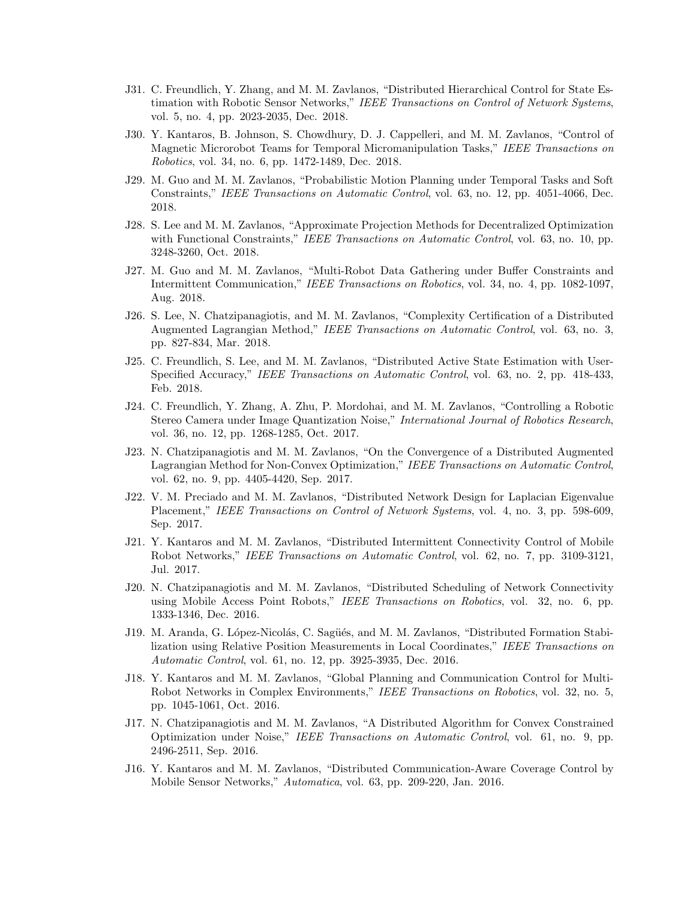- J31. C. Freundlich, Y. Zhang, and M. M. Zavlanos, "Distributed Hierarchical Control for State Estimation with Robotic Sensor Networks," IEEE Transactions on Control of Network Systems, vol. 5, no. 4, pp. 2023-2035, Dec. 2018.
- J30. Y. Kantaros, B. Johnson, S. Chowdhury, D. J. Cappelleri, and M. M. Zavlanos, "Control of Magnetic Microrobot Teams for Temporal Micromanipulation Tasks," IEEE Transactions on Robotics, vol. 34, no. 6, pp. 1472-1489, Dec. 2018.
- J29. M. Guo and M. M. Zavlanos, "Probabilistic Motion Planning under Temporal Tasks and Soft Constraints," IEEE Transactions on Automatic Control, vol. 63, no. 12, pp. 4051-4066, Dec. 2018.
- J28. S. Lee and M. M. Zavlanos, "Approximate Projection Methods for Decentralized Optimization with Functional Constraints," IEEE Transactions on Automatic Control, vol. 63, no. 10, pp. 3248-3260, Oct. 2018.
- J27. M. Guo and M. M. Zavlanos, "Multi-Robot Data Gathering under Buffer Constraints and Intermittent Communication," IEEE Transactions on Robotics, vol. 34, no. 4, pp. 1082-1097, Aug. 2018.
- J26. S. Lee, N. Chatzipanagiotis, and M. M. Zavlanos, "Complexity Certification of a Distributed Augmented Lagrangian Method," IEEE Transactions on Automatic Control, vol. 63, no. 3, pp. 827-834, Mar. 2018.
- J25. C. Freundlich, S. Lee, and M. M. Zavlanos, "Distributed Active State Estimation with User-Specified Accuracy," IEEE Transactions on Automatic Control, vol. 63, no. 2, pp. 418-433, Feb. 2018.
- J24. C. Freundlich, Y. Zhang, A. Zhu, P. Mordohai, and M. M. Zavlanos, "Controlling a Robotic Stereo Camera under Image Quantization Noise," International Journal of Robotics Research, vol. 36, no. 12, pp. 1268-1285, Oct. 2017.
- J23. N. Chatzipanagiotis and M. M. Zavlanos, "On the Convergence of a Distributed Augmented Lagrangian Method for Non-Convex Optimization," IEEE Transactions on Automatic Control, vol. 62, no. 9, pp. 4405-4420, Sep. 2017.
- J22. V. M. Preciado and M. M. Zavlanos, "Distributed Network Design for Laplacian Eigenvalue Placement," IEEE Transactions on Control of Network Systems, vol. 4, no. 3, pp. 598-609, Sep. 2017.
- J21. Y. Kantaros and M. M. Zavlanos, "Distributed Intermittent Connectivity Control of Mobile Robot Networks," IEEE Transactions on Automatic Control, vol. 62, no. 7, pp. 3109-3121, Jul. 2017.
- J20. N. Chatzipanagiotis and M. M. Zavlanos, "Distributed Scheduling of Network Connectivity using Mobile Access Point Robots," IEEE Transactions on Robotics, vol. 32, no. 6, pp. 1333-1346, Dec. 2016.
- J19. M. Aranda, G. López-Nicolás, C. Sagüés, and M. M. Zavlanos, "Distributed Formation Stabilization using Relative Position Measurements in Local Coordinates," IEEE Transactions on Automatic Control, vol. 61, no. 12, pp. 3925-3935, Dec. 2016.
- J18. Y. Kantaros and M. M. Zavlanos, "Global Planning and Communication Control for Multi-Robot Networks in Complex Environments," IEEE Transactions on Robotics, vol. 32, no. 5, pp. 1045-1061, Oct. 2016.
- J17. N. Chatzipanagiotis and M. M. Zavlanos, "A Distributed Algorithm for Convex Constrained Optimization under Noise," IEEE Transactions on Automatic Control, vol. 61, no. 9, pp. 2496-2511, Sep. 2016.
- J16. Y. Kantaros and M. M. Zavlanos, "Distributed Communication-Aware Coverage Control by Mobile Sensor Networks," Automatica, vol. 63, pp. 209-220, Jan. 2016.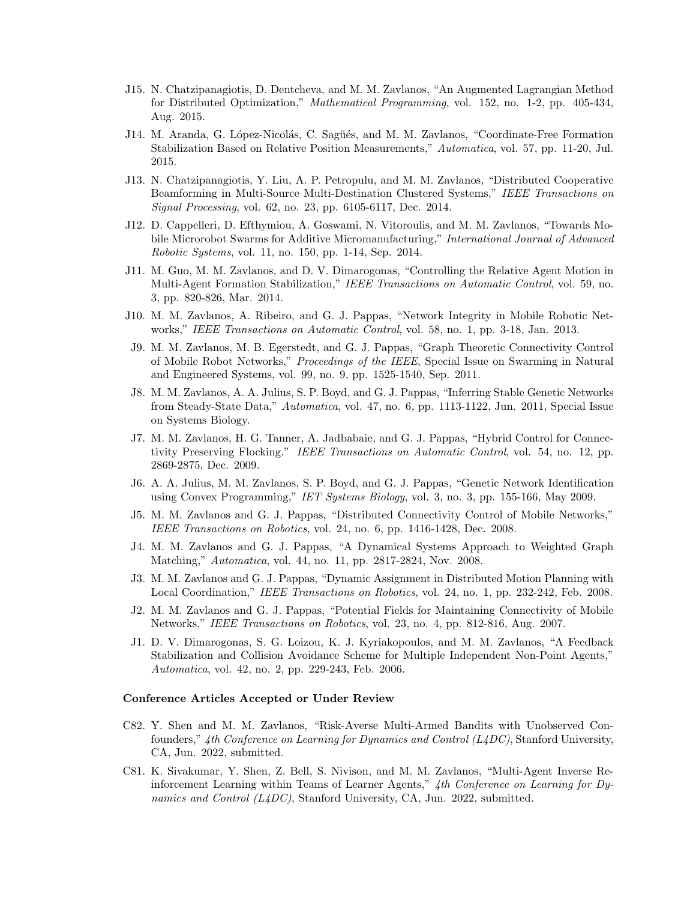- J15. N. Chatzipanagiotis, D. Dentcheva, and M. M. Zavlanos, "An Augmented Lagrangian Method for Distributed Optimization," Mathematical Programming, vol. 152, no. 1-2, pp. 405-434, Aug. 2015.
- J14. M. Aranda, G. López-Nicolás, C. Sagüés, and M. M. Zavlanos, "Coordinate-Free Formation Stabilization Based on Relative Position Measurements," Automatica, vol. 57, pp. 11-20, Jul. 2015.
- J13. N. Chatzipanagiotis, Y. Liu, A. P. Petropulu, and M. M. Zavlanos, "Distributed Cooperative Beamforming in Multi-Source Multi-Destination Clustered Systems," IEEE Transactions on Signal Processing, vol. 62, no. 23, pp. 6105-6117, Dec. 2014.
- J12. D. Cappelleri, D. Efthymiou, A. Goswami, N. Vitoroulis, and M. M. Zavlanos, "Towards Mobile Microrobot Swarms for Additive Micromanufacturing," *International Journal of Advanced* Robotic Systems, vol. 11, no. 150, pp. 1-14, Sep. 2014.
- J11. M. Guo, M. M. Zavlanos, and D. V. Dimarogonas, "Controlling the Relative Agent Motion in Multi-Agent Formation Stabilization," IEEE Transactions on Automatic Control, vol. 59, no. 3, pp. 820-826, Mar. 2014.
- J10. M. M. Zavlanos, A. Ribeiro, and G. J. Pappas, "Network Integrity in Mobile Robotic Networks," IEEE Transactions on Automatic Control, vol. 58, no. 1, pp. 3-18, Jan. 2013.
- J9. M. M. Zavlanos, M. B. Egerstedt, and G. J. Pappas, "Graph Theoretic Connectivity Control of Mobile Robot Networks," Proceedings of the IEEE, Special Issue on Swarming in Natural and Engineered Systems, vol. 99, no. 9, pp. 1525-1540, Sep. 2011.
- J8. M. M. Zavlanos, A. A. Julius, S. P. Boyd, and G. J. Pappas, "Inferring Stable Genetic Networks from Steady-State Data," Automatica, vol. 47, no. 6, pp. 1113-1122, Jun. 2011, Special Issue on Systems Biology.
- J7. M. M. Zavlanos, H. G. Tanner, A. Jadbabaie, and G. J. Pappas, "Hybrid Control for Connectivity Preserving Flocking." IEEE Transactions on Automatic Control, vol. 54, no. 12, pp. 2869-2875, Dec. 2009.
- J6. A. A. Julius, M. M. Zavlanos, S. P. Boyd, and G. J. Pappas, "Genetic Network Identification using Convex Programming," IET Systems Biology, vol. 3, no. 3, pp. 155-166, May 2009.
- J5. M. M. Zavlanos and G. J. Pappas, "Distributed Connectivity Control of Mobile Networks," IEEE Transactions on Robotics, vol. 24, no. 6, pp. 1416-1428, Dec. 2008.
- J4. M. M. Zavlanos and G. J. Pappas, "A Dynamical Systems Approach to Weighted Graph Matching," Automatica, vol. 44, no. 11, pp. 2817-2824, Nov. 2008.
- J3. M. M. Zavlanos and G. J. Pappas, "Dynamic Assignment in Distributed Motion Planning with Local Coordination," IEEE Transactions on Robotics, vol. 24, no. 1, pp. 232-242, Feb. 2008.
- J2. M. M. Zavlanos and G. J. Pappas, "Potential Fields for Maintaining Connectivity of Mobile Networks," IEEE Transactions on Robotics, vol. 23, no. 4, pp. 812-816, Aug. 2007.
- J1. D. V. Dimarogonas, S. G. Loizou, K. J. Kyriakopoulos, and M. M. Zavlanos, "A Feedback Stabilization and Collision Avoidance Scheme for Multiple Independent Non-Point Agents," Automatica, vol. 42, no. 2, pp. 229-243, Feb. 2006.

## Conference Articles Accepted or Under Review

- C82. Y. Shen and M. M. Zavlanos, "Risk-Averse Multi-Armed Bandits with Unobserved Confounders,"  $4th$  Conference on Learning for Dynamics and Control (L4DC), Stanford University, CA, Jun. 2022, submitted.
- C81. K. Sivakumar, Y. Shen, Z. Bell, S. Nivison, and M. M. Zavlanos, "Multi-Agent Inverse Reinforcement Learning within Teams of Learner Agents,"  $4th$  Conference on Learning for Dynamics and Control (L4DC), Stanford University, CA, Jun. 2022, submitted.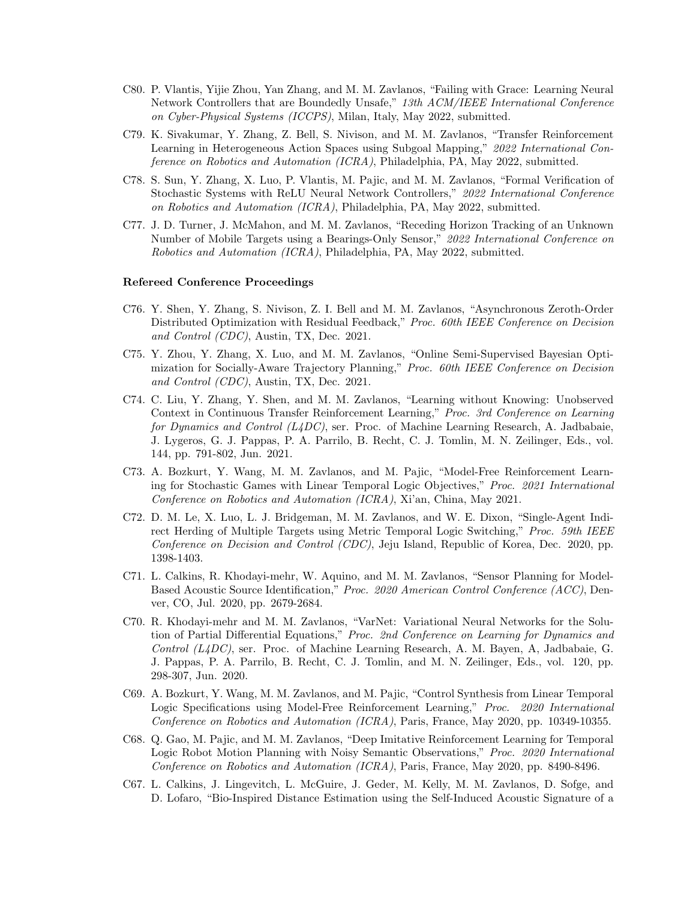- C80. P. Vlantis, Yijie Zhou, Yan Zhang, and M. M. Zavlanos, "Failing with Grace: Learning Neural Network Controllers that are Boundedly Unsafe," 13th ACM/IEEE International Conference on Cyber-Physical Systems (ICCPS), Milan, Italy, May 2022, submitted.
- C79. K. Sivakumar, Y. Zhang, Z. Bell, S. Nivison, and M. M. Zavlanos, "Transfer Reinforcement Learning in Heterogeneous Action Spaces using Subgoal Mapping," 2022 International Conference on Robotics and Automation (ICRA), Philadelphia, PA, May 2022, submitted.
- C78. S. Sun, Y. Zhang, X. Luo, P. Vlantis, M. Pajic, and M. M. Zavlanos, "Formal Verification of Stochastic Systems with ReLU Neural Network Controllers," 2022 International Conference on Robotics and Automation (ICRA), Philadelphia, PA, May 2022, submitted.
- C77. J. D. Turner, J. McMahon, and M. M. Zavlanos, "Receding Horizon Tracking of an Unknown Number of Mobile Targets using a Bearings-Only Sensor," 2022 International Conference on Robotics and Automation (ICRA), Philadelphia, PA, May 2022, submitted.

## Refereed Conference Proceedings

- C76. Y. Shen, Y. Zhang, S. Nivison, Z. I. Bell and M. M. Zavlanos, "Asynchronous Zeroth-Order Distributed Optimization with Residual Feedback," Proc. 60th IEEE Conference on Decision and Control (CDC), Austin, TX, Dec. 2021.
- C75. Y. Zhou, Y. Zhang, X. Luo, and M. M. Zavlanos, "Online Semi-Supervised Bayesian Optimization for Socially-Aware Trajectory Planning," Proc. 60th IEEE Conference on Decision and Control (CDC), Austin, TX, Dec. 2021.
- C74. C. Liu, Y. Zhang, Y. Shen, and M. M. Zavlanos, "Learning without Knowing: Unobserved Context in Continuous Transfer Reinforcement Learning," Proc. 3rd Conference on Learning for Dynamics and Control  $(L4DC)$ , ser. Proc. of Machine Learning Research, A. Jadbabaie, J. Lygeros, G. J. Pappas, P. A. Parrilo, B. Recht, C. J. Tomlin, M. N. Zeilinger, Eds., vol. 144, pp. 791-802, Jun. 2021.
- C73. A. Bozkurt, Y. Wang, M. M. Zavlanos, and M. Pajic, "Model-Free Reinforcement Learning for Stochastic Games with Linear Temporal Logic Objectives," Proc. 2021 International Conference on Robotics and Automation (ICRA), Xi'an, China, May 2021.
- C72. D. M. Le, X. Luo, L. J. Bridgeman, M. M. Zavlanos, and W. E. Dixon, "Single-Agent Indirect Herding of Multiple Targets using Metric Temporal Logic Switching," Proc. 59th IEEE Conference on Decision and Control (CDC), Jeju Island, Republic of Korea, Dec. 2020, pp. 1398-1403.
- C71. L. Calkins, R. Khodayi-mehr, W. Aquino, and M. M. Zavlanos, "Sensor Planning for Model-Based Acoustic Source Identification," Proc. 2020 American Control Conference (ACC), Denver, CO, Jul. 2020, pp. 2679-2684.
- C70. R. Khodayi-mehr and M. M. Zavlanos, "VarNet: Variational Neural Networks for the Solution of Partial Differential Equations," Proc. 2nd Conference on Learning for Dynamics and Control  $(L4DC)$ , ser. Proc. of Machine Learning Research, A. M. Bayen, A, Jadbabaie, G. J. Pappas, P. A. Parrilo, B. Recht, C. J. Tomlin, and M. N. Zeilinger, Eds., vol. 120, pp. 298-307, Jun. 2020.
- C69. A. Bozkurt, Y. Wang, M. M. Zavlanos, and M. Pajic, "Control Synthesis from Linear Temporal Logic Specifications using Model-Free Reinforcement Learning," Proc. 2020 International Conference on Robotics and Automation (ICRA), Paris, France, May 2020, pp. 10349-10355.
- C68. Q. Gao, M. Pajic, and M. M. Zavlanos, "Deep Imitative Reinforcement Learning for Temporal Logic Robot Motion Planning with Noisy Semantic Observations," Proc. 2020 International Conference on Robotics and Automation (ICRA), Paris, France, May 2020, pp. 8490-8496.
- C67. L. Calkins, J. Lingevitch, L. McGuire, J. Geder, M. Kelly, M. M. Zavlanos, D. Sofge, and D. Lofaro, "Bio-Inspired Distance Estimation using the Self-Induced Acoustic Signature of a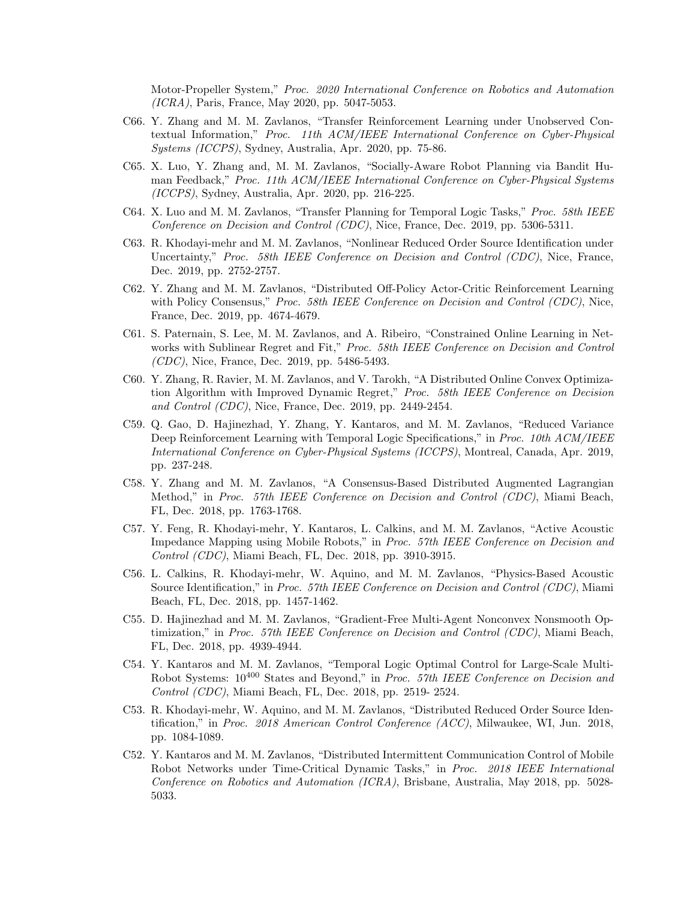Motor-Propeller System," Proc. 2020 International Conference on Robotics and Automation (ICRA), Paris, France, May 2020, pp. 5047-5053.

- C66. Y. Zhang and M. M. Zavlanos, "Transfer Reinforcement Learning under Unobserved Contextual Information," Proc. 11th ACM/IEEE International Conference on Cyber-Physical Systems (ICCPS), Sydney, Australia, Apr. 2020, pp. 75-86.
- C65. X. Luo, Y. Zhang and, M. M. Zavlanos, "Socially-Aware Robot Planning via Bandit Human Feedback," Proc. 11th ACM/IEEE International Conference on Cyber-Physical Systems (ICCPS), Sydney, Australia, Apr. 2020, pp. 216-225.
- C64. X. Luo and M. M. Zavlanos, "Transfer Planning for Temporal Logic Tasks," Proc. 58th IEEE Conference on Decision and Control (CDC), Nice, France, Dec. 2019, pp. 5306-5311.
- C63. R. Khodayi-mehr and M. M. Zavlanos, "Nonlinear Reduced Order Source Identification under Uncertainty," Proc. 58th IEEE Conference on Decision and Control (CDC), Nice, France, Dec. 2019, pp. 2752-2757.
- C62. Y. Zhang and M. M. Zavlanos, "Distributed Off-Policy Actor-Critic Reinforcement Learning with Policy Consensus," Proc. 58th IEEE Conference on Decision and Control (CDC), Nice, France, Dec. 2019, pp. 4674-4679.
- C61. S. Paternain, S. Lee, M. M. Zavlanos, and A. Ribeiro, "Constrained Online Learning in Networks with Sublinear Regret and Fit," *Proc. 58th IEEE Conference on Decision and Control* (CDC), Nice, France, Dec. 2019, pp. 5486-5493.
- C60. Y. Zhang, R. Ravier, M. M. Zavlanos, and V. Tarokh, "A Distributed Online Convex Optimization Algorithm with Improved Dynamic Regret," Proc. 58th IEEE Conference on Decision and Control (CDC), Nice, France, Dec. 2019, pp. 2449-2454.
- C59. Q. Gao, D. Hajinezhad, Y. Zhang, Y. Kantaros, and M. M. Zavlanos, "Reduced Variance Deep Reinforcement Learning with Temporal Logic Specifications," in Proc. 10th ACM/IEEE International Conference on Cyber-Physical Systems (ICCPS), Montreal, Canada, Apr. 2019, pp. 237-248.
- C58. Y. Zhang and M. M. Zavlanos, "A Consensus-Based Distributed Augmented Lagrangian Method," in Proc. 57th IEEE Conference on Decision and Control (CDC), Miami Beach, FL, Dec. 2018, pp. 1763-1768.
- C57. Y. Feng, R. Khodayi-mehr, Y. Kantaros, L. Calkins, and M. M. Zavlanos, "Active Acoustic Impedance Mapping using Mobile Robots," in Proc. 57th IEEE Conference on Decision and Control (CDC), Miami Beach, FL, Dec. 2018, pp. 3910-3915.
- C56. L. Calkins, R. Khodayi-mehr, W. Aquino, and M. M. Zavlanos, "Physics-Based Acoustic Source Identification," in Proc. 57th IEEE Conference on Decision and Control (CDC), Miami Beach, FL, Dec. 2018, pp. 1457-1462.
- C55. D. Hajinezhad and M. M. Zavlanos, "Gradient-Free Multi-Agent Nonconvex Nonsmooth Optimization," in Proc. 57th IEEE Conference on Decision and Control (CDC), Miami Beach, FL, Dec. 2018, pp. 4939-4944.
- C54. Y. Kantaros and M. M. Zavlanos, "Temporal Logic Optimal Control for Large-Scale Multi-Robot Systems:  $10^{400}$  States and Beyond," in Proc. 57th IEEE Conference on Decision and Control (CDC), Miami Beach, FL, Dec. 2018, pp. 2519- 2524.
- C53. R. Khodayi-mehr, W. Aquino, and M. M. Zavlanos, "Distributed Reduced Order Source Identification," in Proc. 2018 American Control Conference (ACC), Milwaukee, WI, Jun. 2018, pp. 1084-1089.
- C52. Y. Kantaros and M. M. Zavlanos, "Distributed Intermittent Communication Control of Mobile Robot Networks under Time-Critical Dynamic Tasks," in Proc. 2018 IEEE International Conference on Robotics and Automation (ICRA), Brisbane, Australia, May 2018, pp. 5028- 5033.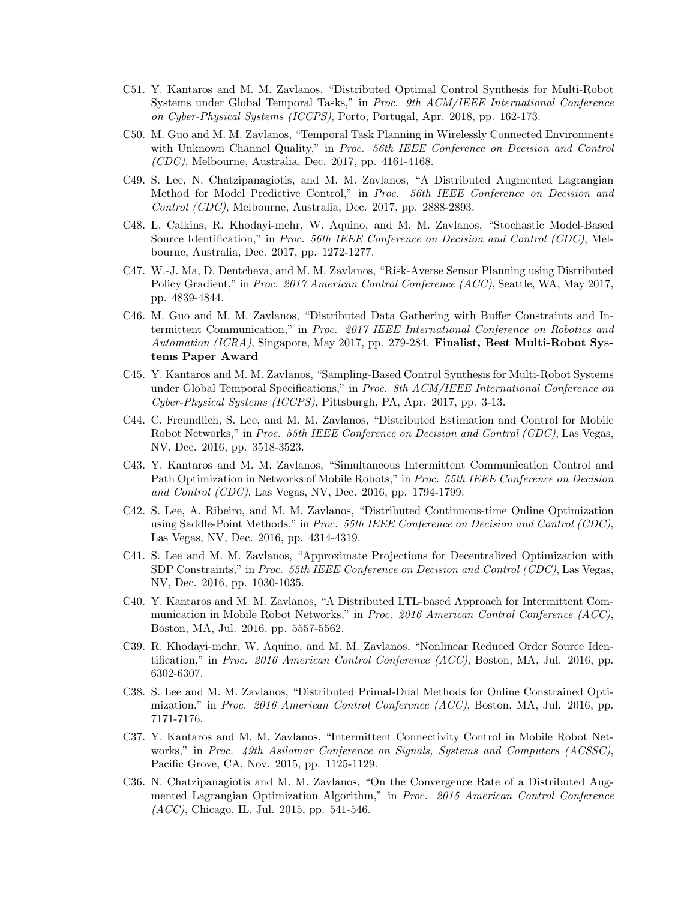- C51. Y. Kantaros and M. M. Zavlanos, "Distributed Optimal Control Synthesis for Multi-Robot Systems under Global Temporal Tasks," in Proc. 9th ACM/IEEE International Conference on Cyber-Physical Systems (ICCPS), Porto, Portugal, Apr. 2018, pp. 162-173.
- C50. M. Guo and M. M. Zavlanos, "Temporal Task Planning in Wirelessly Connected Environments with Unknown Channel Quality," in Proc. 56th IEEE Conference on Decision and Control (CDC), Melbourne, Australia, Dec. 2017, pp. 4161-4168.
- C49. S. Lee, N. Chatzipanagiotis, and M. M. Zavlanos, "A Distributed Augmented Lagrangian Method for Model Predictive Control," in Proc. 56th IEEE Conference on Decision and Control (CDC), Melbourne, Australia, Dec. 2017, pp. 2888-2893.
- C48. L. Calkins, R. Khodayi-mehr, W. Aquino, and M. M. Zavlanos, "Stochastic Model-Based Source Identification," in *Proc. 56th IEEE Conference on Decision and Control (CDC)*, Melbourne, Australia, Dec. 2017, pp. 1272-1277.
- C47. W.-J. Ma, D. Dentcheva, and M. M. Zavlanos, "Risk-Averse Sensor Planning using Distributed Policy Gradient," in Proc. 2017 American Control Conference (ACC), Seattle, WA, May 2017, pp. 4839-4844.
- C46. M. Guo and M. M. Zavlanos, "Distributed Data Gathering with Buffer Constraints and Intermittent Communication," in Proc. 2017 IEEE International Conference on Robotics and Automation (ICRA), Singapore, May 2017, pp. 279-284. Finalist, Best Multi-Robot Systems Paper Award
- C45. Y. Kantaros and M. M. Zavlanos, "Sampling-Based Control Synthesis for Multi-Robot Systems under Global Temporal Specifications," in Proc. 8th ACM/IEEE International Conference on Cyber-Physical Systems (ICCPS), Pittsburgh, PA, Apr. 2017, pp. 3-13.
- C44. C. Freundlich, S. Lee, and M. M. Zavlanos, "Distributed Estimation and Control for Mobile Robot Networks," in *Proc. 55th IEEE Conference on Decision and Control (CDC)*, Las Vegas, NV, Dec. 2016, pp. 3518-3523.
- C43. Y. Kantaros and M. M. Zavlanos, "Simultaneous Intermittent Communication Control and Path Optimization in Networks of Mobile Robots," in Proc. 55th IEEE Conference on Decision and Control (CDC), Las Vegas, NV, Dec. 2016, pp. 1794-1799.
- C42. S. Lee, A. Ribeiro, and M. M. Zavlanos, "Distributed Continuous-time Online Optimization using Saddle-Point Methods," in Proc. 55th IEEE Conference on Decision and Control (CDC), Las Vegas, NV, Dec. 2016, pp. 4314-4319.
- C41. S. Lee and M. M. Zavlanos, "Approximate Projections for Decentralized Optimization with SDP Constraints," in *Proc. 55th IEEE Conference on Decision and Control (CDC)*, Las Vegas, NV, Dec. 2016, pp. 1030-1035.
- C40. Y. Kantaros and M. M. Zavlanos, "A Distributed LTL-based Approach for Intermittent Communication in Mobile Robot Networks," in Proc. 2016 American Control Conference (ACC), Boston, MA, Jul. 2016, pp. 5557-5562.
- C39. R. Khodayi-mehr, W. Aquino, and M. M. Zavlanos, "Nonlinear Reduced Order Source Identification," in Proc. 2016 American Control Conference (ACC), Boston, MA, Jul. 2016, pp. 6302-6307.
- C38. S. Lee and M. M. Zavlanos, "Distributed Primal-Dual Methods for Online Constrained Optimization," in Proc. 2016 American Control Conference (ACC), Boston, MA, Jul. 2016, pp. 7171-7176.
- C37. Y. Kantaros and M. M. Zavlanos, "Intermittent Connectivity Control in Mobile Robot Networks," in Proc. 49th Asilomar Conference on Signals, Systems and Computers (ACSSC), Pacific Grove, CA, Nov. 2015, pp. 1125-1129.
- C36. N. Chatzipanagiotis and M. M. Zavlanos, "On the Convergence Rate of a Distributed Augmented Lagrangian Optimization Algorithm," in Proc. 2015 American Control Conference (ACC), Chicago, IL, Jul. 2015, pp. 541-546.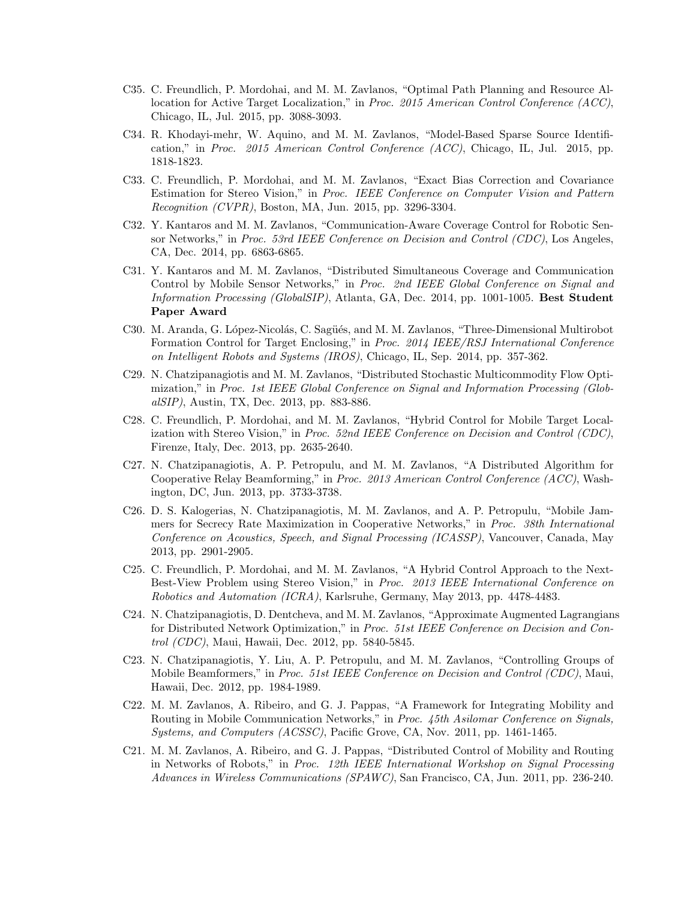- C35. C. Freundlich, P. Mordohai, and M. M. Zavlanos, "Optimal Path Planning and Resource Allocation for Active Target Localization," in Proc. 2015 American Control Conference (ACC), Chicago, IL, Jul. 2015, pp. 3088-3093.
- C34. R. Khodayi-mehr, W. Aquino, and M. M. Zavlanos, "Model-Based Sparse Source Identification," in Proc. 2015 American Control Conference (ACC), Chicago, IL, Jul. 2015, pp. 1818-1823.
- C33. C. Freundlich, P. Mordohai, and M. M. Zavlanos, "Exact Bias Correction and Covariance Estimation for Stereo Vision," in Proc. IEEE Conference on Computer Vision and Pattern Recognition (CVPR), Boston, MA, Jun. 2015, pp. 3296-3304.
- C32. Y. Kantaros and M. M. Zavlanos, "Communication-Aware Coverage Control for Robotic Sensor Networks," in *Proc. 53rd IEEE Conference on Decision and Control (CDC)*, Los Angeles, CA, Dec. 2014, pp. 6863-6865.
- C31. Y. Kantaros and M. M. Zavlanos, "Distributed Simultaneous Coverage and Communication Control by Mobile Sensor Networks," in Proc. 2nd IEEE Global Conference on Signal and Information Processing (GlobalSIP), Atlanta, GA, Dec. 2014, pp. 1001-1005. Best Student Paper Award
- C30. M. Aranda, G. López-Nicolás, C. Sagüés, and M. M. Zavlanos, "Three-Dimensional Multirobot Formation Control for Target Enclosing," in Proc. 2014 IEEE/RSJ International Conference on Intelligent Robots and Systems (IROS), Chicago, IL, Sep. 2014, pp. 357-362.
- C29. N. Chatzipanagiotis and M. M. Zavlanos, "Distributed Stochastic Multicommodity Flow Optimization," in Proc. 1st IEEE Global Conference on Signal and Information Processing (GlobalSIP), Austin, TX, Dec. 2013, pp. 883-886.
- C28. C. Freundlich, P. Mordohai, and M. M. Zavlanos, "Hybrid Control for Mobile Target Localization with Stereo Vision," in Proc. 52nd IEEE Conference on Decision and Control (CDC), Firenze, Italy, Dec. 2013, pp. 2635-2640.
- C27. N. Chatzipanagiotis, A. P. Petropulu, and M. M. Zavlanos, "A Distributed Algorithm for Cooperative Relay Beamforming," in Proc. 2013 American Control Conference (ACC), Washington, DC, Jun. 2013, pp. 3733-3738.
- C26. D. S. Kalogerias, N. Chatzipanagiotis, M. M. Zavlanos, and A. P. Petropulu, "Mobile Jammers for Secrecy Rate Maximization in Cooperative Networks," in Proc. 38th International Conference on Acoustics, Speech, and Signal Processing (ICASSP), Vancouver, Canada, May 2013, pp. 2901-2905.
- C25. C. Freundlich, P. Mordohai, and M. M. Zavlanos, "A Hybrid Control Approach to the Next-Best-View Problem using Stereo Vision," in Proc. 2013 IEEE International Conference on Robotics and Automation (ICRA), Karlsruhe, Germany, May 2013, pp. 4478-4483.
- C24. N. Chatzipanagiotis, D. Dentcheva, and M. M. Zavlanos, "Approximate Augmented Lagrangians for Distributed Network Optimization," in Proc. 51st IEEE Conference on Decision and Control (CDC), Maui, Hawaii, Dec. 2012, pp. 5840-5845.
- C23. N. Chatzipanagiotis, Y. Liu, A. P. Petropulu, and M. M. Zavlanos, "Controlling Groups of Mobile Beamformers," in Proc. 51st IEEE Conference on Decision and Control (CDC), Maui, Hawaii, Dec. 2012, pp. 1984-1989.
- C22. M. M. Zavlanos, A. Ribeiro, and G. J. Pappas, "A Framework for Integrating Mobility and Routing in Mobile Communication Networks," in Proc. 45th Asilomar Conference on Signals, Systems, and Computers (ACSSC), Pacific Grove, CA, Nov. 2011, pp. 1461-1465.
- C21. M. M. Zavlanos, A. Ribeiro, and G. J. Pappas, "Distributed Control of Mobility and Routing in Networks of Robots," in Proc. 12th IEEE International Workshop on Signal Processing Advances in Wireless Communications (SPAWC), San Francisco, CA, Jun. 2011, pp. 236-240.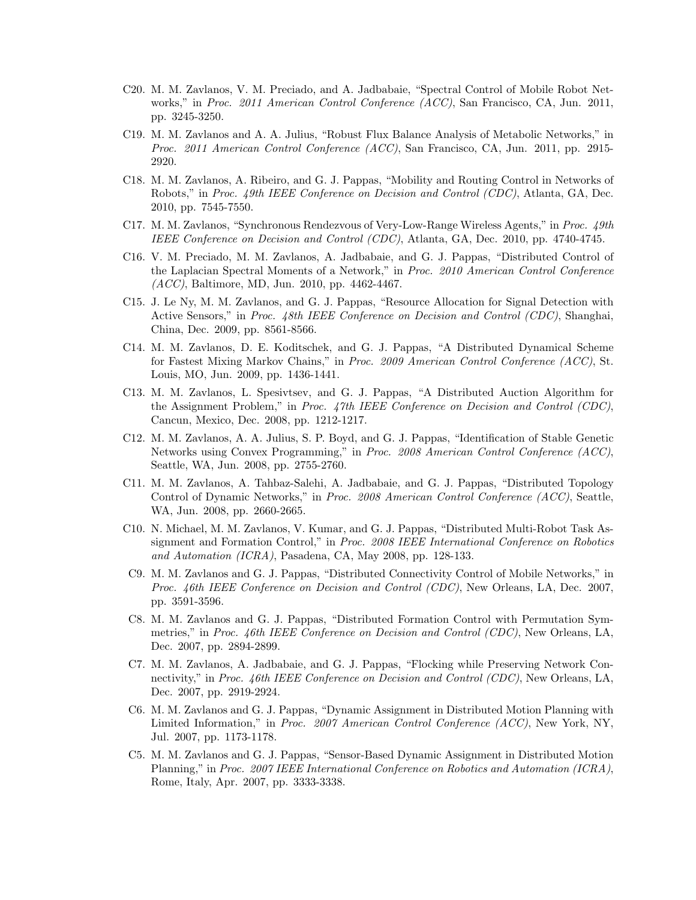- C20. M. M. Zavlanos, V. M. Preciado, and A. Jadbabaie, "Spectral Control of Mobile Robot Networks," in Proc. 2011 American Control Conference (ACC), San Francisco, CA, Jun. 2011, pp. 3245-3250.
- C19. M. M. Zavlanos and A. A. Julius, "Robust Flux Balance Analysis of Metabolic Networks," in Proc. 2011 American Control Conference (ACC), San Francisco, CA, Jun. 2011, pp. 2915- 2920.
- C18. M. M. Zavlanos, A. Ribeiro, and G. J. Pappas, "Mobility and Routing Control in Networks of Robots," in Proc. 49th IEEE Conference on Decision and Control (CDC), Atlanta, GA, Dec. 2010, pp. 7545-7550.
- C17. M. M. Zavlanos, "Synchronous Rendezvous of Very-Low-Range Wireless Agents," in Proc. 49th IEEE Conference on Decision and Control (CDC), Atlanta, GA, Dec. 2010, pp. 4740-4745.
- C16. V. M. Preciado, M. M. Zavlanos, A. Jadbabaie, and G. J. Pappas, "Distributed Control of the Laplacian Spectral Moments of a Network," in Proc. 2010 American Control Conference (ACC), Baltimore, MD, Jun. 2010, pp. 4462-4467.
- C15. J. Le Ny, M. M. Zavlanos, and G. J. Pappas, "Resource Allocation for Signal Detection with Active Sensors," in Proc. 48th IEEE Conference on Decision and Control (CDC), Shanghai, China, Dec. 2009, pp. 8561-8566.
- C14. M. M. Zavlanos, D. E. Koditschek, and G. J. Pappas, "A Distributed Dynamical Scheme for Fastest Mixing Markov Chains," in Proc. 2009 American Control Conference (ACC), St. Louis, MO, Jun. 2009, pp. 1436-1441.
- C13. M. M. Zavlanos, L. Spesivtsev, and G. J. Pappas, "A Distributed Auction Algorithm for the Assignment Problem," in Proc. 47th IEEE Conference on Decision and Control (CDC), Cancun, Mexico, Dec. 2008, pp. 1212-1217.
- C12. M. M. Zavlanos, A. A. Julius, S. P. Boyd, and G. J. Pappas, "Identification of Stable Genetic Networks using Convex Programming," in Proc. 2008 American Control Conference (ACC), Seattle, WA, Jun. 2008, pp. 2755-2760.
- C11. M. M. Zavlanos, A. Tahbaz-Salehi, A. Jadbabaie, and G. J. Pappas, "Distributed Topology Control of Dynamic Networks," in Proc. 2008 American Control Conference (ACC), Seattle, WA, Jun. 2008, pp. 2660-2665.
- C10. N. Michael, M. M. Zavlanos, V. Kumar, and G. J. Pappas, "Distributed Multi-Robot Task Assignment and Formation Control," in Proc. 2008 IEEE International Conference on Robotics and Automation (ICRA), Pasadena, CA, May 2008, pp. 128-133.
- C9. M. M. Zavlanos and G. J. Pappas, "Distributed Connectivity Control of Mobile Networks," in Proc. 46th IEEE Conference on Decision and Control (CDC), New Orleans, LA, Dec. 2007, pp. 3591-3596.
- C8. M. M. Zavlanos and G. J. Pappas, "Distributed Formation Control with Permutation Symmetries," in Proc. 46th IEEE Conference on Decision and Control (CDC), New Orleans, LA, Dec. 2007, pp. 2894-2899.
- C7. M. M. Zavlanos, A. Jadbabaie, and G. J. Pappas, "Flocking while Preserving Network Connectivity," in Proc. 46th IEEE Conference on Decision and Control (CDC), New Orleans, LA, Dec. 2007, pp. 2919-2924.
- C6. M. M. Zavlanos and G. J. Pappas, "Dynamic Assignment in Distributed Motion Planning with Limited Information," in Proc. 2007 American Control Conference (ACC), New York, NY, Jul. 2007, pp. 1173-1178.
- C5. M. M. Zavlanos and G. J. Pappas, "Sensor-Based Dynamic Assignment in Distributed Motion Planning," in Proc. 2007 IEEE International Conference on Robotics and Automation (ICRA), Rome, Italy, Apr. 2007, pp. 3333-3338.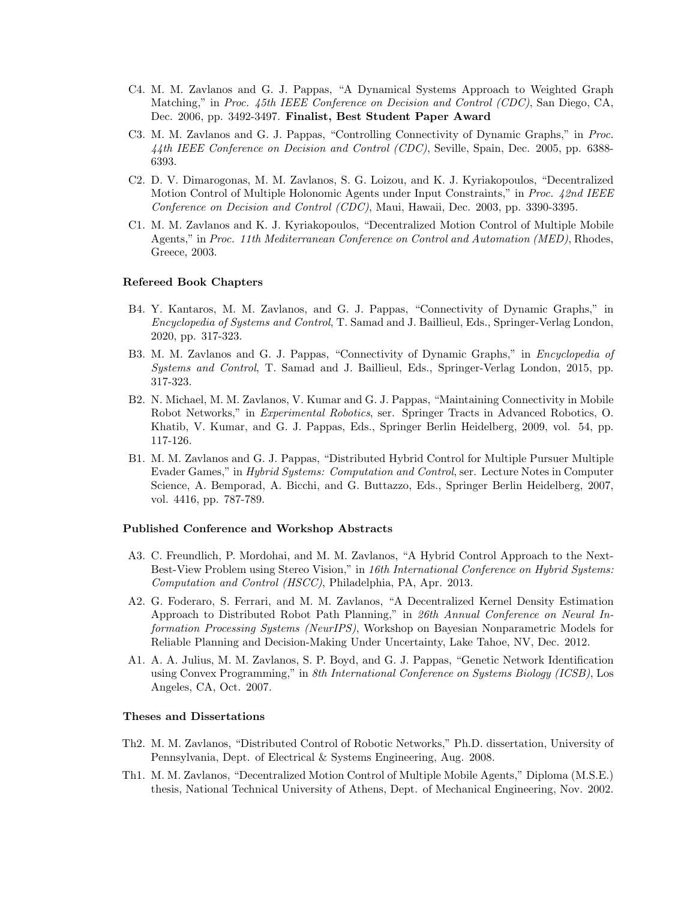- C4. M. M. Zavlanos and G. J. Pappas, "A Dynamical Systems Approach to Weighted Graph Matching," in Proc. 45th IEEE Conference on Decision and Control (CDC), San Diego, CA, Dec. 2006, pp. 3492-3497. Finalist, Best Student Paper Award
- C3. M. M. Zavlanos and G. J. Pappas, "Controlling Connectivity of Dynamic Graphs," in Proc. 44th IEEE Conference on Decision and Control (CDC), Seville, Spain, Dec. 2005, pp. 6388- 6393.
- C2. D. V. Dimarogonas, M. M. Zavlanos, S. G. Loizou, and K. J. Kyriakopoulos, "Decentralized Motion Control of Multiple Holonomic Agents under Input Constraints," in Proc. 42nd IEEE Conference on Decision and Control (CDC), Maui, Hawaii, Dec. 2003, pp. 3390-3395.
- C1. M. M. Zavlanos and K. J. Kyriakopoulos, "Decentralized Motion Control of Multiple Mobile Agents," in Proc. 11th Mediterranean Conference on Control and Automation (MED), Rhodes, Greece, 2003.

## Refereed Book Chapters

- B4. Y. Kantaros, M. M. Zavlanos, and G. J. Pappas, "Connectivity of Dynamic Graphs," in Encyclopedia of Systems and Control, T. Samad and J. Baillieul, Eds., Springer-Verlag London, 2020, pp. 317-323.
- B3. M. M. Zavlanos and G. J. Pappas, "Connectivity of Dynamic Graphs," in Encyclopedia of Systems and Control, T. Samad and J. Baillieul, Eds., Springer-Verlag London, 2015, pp. 317-323.
- B2. N. Michael, M. M. Zavlanos, V. Kumar and G. J. Pappas, "Maintaining Connectivity in Mobile Robot Networks," in Experimental Robotics, ser. Springer Tracts in Advanced Robotics, O. Khatib, V. Kumar, and G. J. Pappas, Eds., Springer Berlin Heidelberg, 2009, vol. 54, pp. 117-126.
- B1. M. M. Zavlanos and G. J. Pappas, "Distributed Hybrid Control for Multiple Pursuer Multiple Evader Games," in Hybrid Systems: Computation and Control, ser. Lecture Notes in Computer Science, A. Bemporad, A. Bicchi, and G. Buttazzo, Eds., Springer Berlin Heidelberg, 2007, vol. 4416, pp. 787-789.

### Published Conference and Workshop Abstracts

- A3. C. Freundlich, P. Mordohai, and M. M. Zavlanos, "A Hybrid Control Approach to the Next-Best-View Problem using Stereo Vision," in 16th International Conference on Hybrid Systems: Computation and Control (HSCC), Philadelphia, PA, Apr. 2013.
- A2. G. Foderaro, S. Ferrari, and M. M. Zavlanos, "A Decentralized Kernel Density Estimation Approach to Distributed Robot Path Planning," in 26th Annual Conference on Neural Information Processing Systems (NeurIPS), Workshop on Bayesian Nonparametric Models for Reliable Planning and Decision-Making Under Uncertainty, Lake Tahoe, NV, Dec. 2012.
- A1. A. A. Julius, M. M. Zavlanos, S. P. Boyd, and G. J. Pappas, "Genetic Network Identification using Convex Programming," in 8th International Conference on Systems Biology (ICSB), Los Angeles, CA, Oct. 2007.

#### Theses and Dissertations

- Th2. M. M. Zavlanos, "Distributed Control of Robotic Networks," Ph.D. dissertation, University of Pennsylvania, Dept. of Electrical & Systems Engineering, Aug. 2008.
- Th1. M. M. Zavlanos, "Decentralized Motion Control of Multiple Mobile Agents," Diploma (M.S.E.) thesis, National Technical University of Athens, Dept. of Mechanical Engineering, Nov. 2002.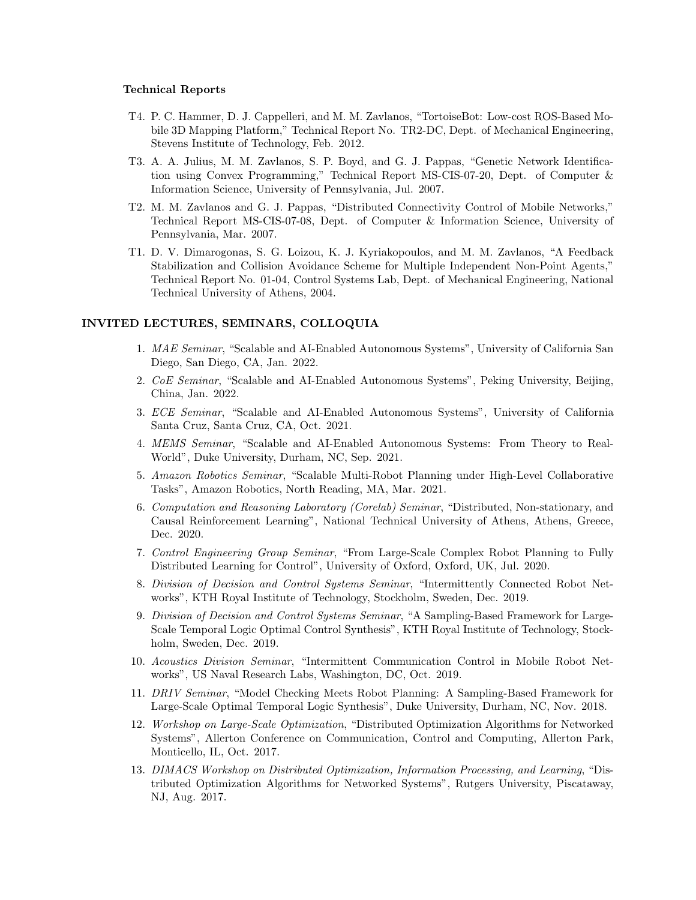#### Technical Reports

- T4. P. C. Hammer, D. J. Cappelleri, and M. M. Zavlanos, "TortoiseBot: Low-cost ROS-Based Mobile 3D Mapping Platform," Technical Report No. TR2-DC, Dept. of Mechanical Engineering, Stevens Institute of Technology, Feb. 2012.
- T3. A. A. Julius, M. M. Zavlanos, S. P. Boyd, and G. J. Pappas, "Genetic Network Identification using Convex Programming," Technical Report MS-CIS-07-20, Dept. of Computer & Information Science, University of Pennsylvania, Jul. 2007.
- T2. M. M. Zavlanos and G. J. Pappas, "Distributed Connectivity Control of Mobile Networks," Technical Report MS-CIS-07-08, Dept. of Computer & Information Science, University of Pennsylvania, Mar. 2007.
- T1. D. V. Dimarogonas, S. G. Loizou, K. J. Kyriakopoulos, and M. M. Zavlanos, "A Feedback Stabilization and Collision Avoidance Scheme for Multiple Independent Non-Point Agents," Technical Report No. 01-04, Control Systems Lab, Dept. of Mechanical Engineering, National Technical University of Athens, 2004.

## INVITED LECTURES, SEMINARS, COLLOQUIA

- 1. MAE Seminar, "Scalable and AI-Enabled Autonomous Systems", University of California San Diego, San Diego, CA, Jan. 2022.
- 2. CoE Seminar, "Scalable and AI-Enabled Autonomous Systems", Peking University, Beijing, China, Jan. 2022.
- 3. ECE Seminar, "Scalable and AI-Enabled Autonomous Systems", University of California Santa Cruz, Santa Cruz, CA, Oct. 2021.
- 4. MEMS Seminar, "Scalable and AI-Enabled Autonomous Systems: From Theory to Real-World", Duke University, Durham, NC, Sep. 2021.
- 5. Amazon Robotics Seminar, "Scalable Multi-Robot Planning under High-Level Collaborative Tasks", Amazon Robotics, North Reading, MA, Mar. 2021.
- 6. Computation and Reasoning Laboratory (Corelab) Seminar, "Distributed, Non-stationary, and Causal Reinforcement Learning", National Technical University of Athens, Athens, Greece, Dec. 2020.
- 7. Control Engineering Group Seminar, "From Large-Scale Complex Robot Planning to Fully Distributed Learning for Control", University of Oxford, Oxford, UK, Jul. 2020.
- 8. Division of Decision and Control Systems Seminar, "Intermittently Connected Robot Networks", KTH Royal Institute of Technology, Stockholm, Sweden, Dec. 2019.
- 9. Division of Decision and Control Systems Seminar, "A Sampling-Based Framework for Large-Scale Temporal Logic Optimal Control Synthesis", KTH Royal Institute of Technology, Stockholm, Sweden, Dec. 2019.
- 10. Acoustics Division Seminar, "Intermittent Communication Control in Mobile Robot Networks", US Naval Research Labs, Washington, DC, Oct. 2019.
- 11. DRIV Seminar, "Model Checking Meets Robot Planning: A Sampling-Based Framework for Large-Scale Optimal Temporal Logic Synthesis", Duke University, Durham, NC, Nov. 2018.
- 12. Workshop on Large-Scale Optimization, "Distributed Optimization Algorithms for Networked Systems", Allerton Conference on Communication, Control and Computing, Allerton Park, Monticello, IL, Oct. 2017.
- 13. DIMACS Workshop on Distributed Optimization, Information Processing, and Learning, "Distributed Optimization Algorithms for Networked Systems", Rutgers University, Piscataway, NJ, Aug. 2017.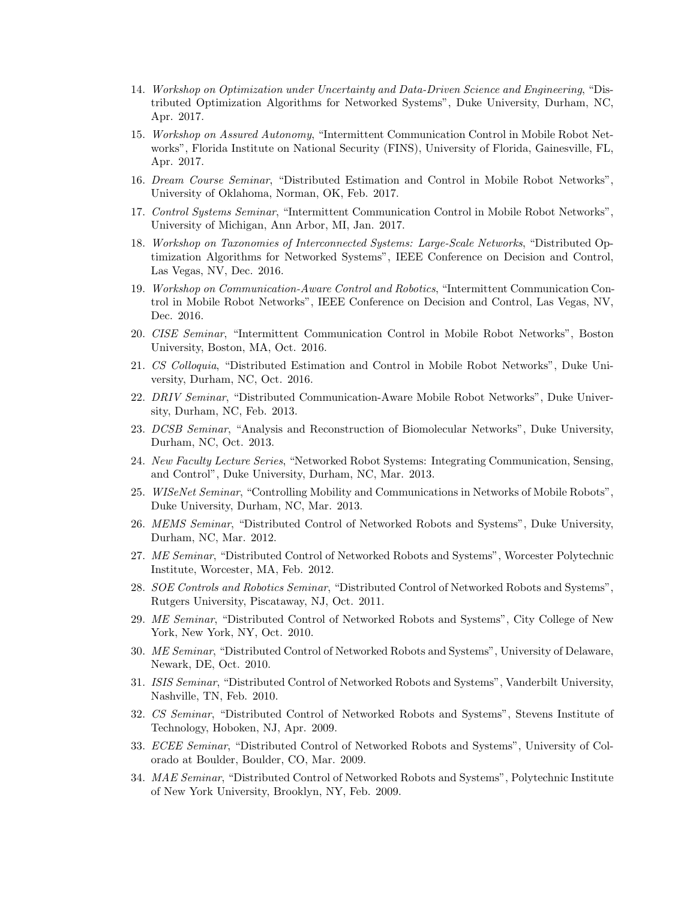- 14. Workshop on Optimization under Uncertainty and Data-Driven Science and Engineering, "Distributed Optimization Algorithms for Networked Systems", Duke University, Durham, NC, Apr. 2017.
- 15. Workshop on Assured Autonomy, "Intermittent Communication Control in Mobile Robot Networks", Florida Institute on National Security (FINS), University of Florida, Gainesville, FL, Apr. 2017.
- 16. Dream Course Seminar, "Distributed Estimation and Control in Mobile Robot Networks", University of Oklahoma, Norman, OK, Feb. 2017.
- 17. Control Systems Seminar, "Intermittent Communication Control in Mobile Robot Networks", University of Michigan, Ann Arbor, MI, Jan. 2017.
- 18. Workshop on Taxonomies of Interconnected Systems: Large-Scale Networks, "Distributed Optimization Algorithms for Networked Systems", IEEE Conference on Decision and Control, Las Vegas, NV, Dec. 2016.
- 19. Workshop on Communication-Aware Control and Robotics, "Intermittent Communication Control in Mobile Robot Networks", IEEE Conference on Decision and Control, Las Vegas, NV, Dec. 2016.
- 20. CISE Seminar, "Intermittent Communication Control in Mobile Robot Networks", Boston University, Boston, MA, Oct. 2016.
- 21. CS Colloquia, "Distributed Estimation and Control in Mobile Robot Networks", Duke University, Durham, NC, Oct. 2016.
- 22. DRIV Seminar, "Distributed Communication-Aware Mobile Robot Networks", Duke University, Durham, NC, Feb. 2013.
- 23. DCSB Seminar, "Analysis and Reconstruction of Biomolecular Networks", Duke University, Durham, NC, Oct. 2013.
- 24. New Faculty Lecture Series, "Networked Robot Systems: Integrating Communication, Sensing, and Control", Duke University, Durham, NC, Mar. 2013.
- 25. WISeNet Seminar, "Controlling Mobility and Communications in Networks of Mobile Robots", Duke University, Durham, NC, Mar. 2013.
- 26. MEMS Seminar, "Distributed Control of Networked Robots and Systems", Duke University, Durham, NC, Mar. 2012.
- 27. ME Seminar, "Distributed Control of Networked Robots and Systems", Worcester Polytechnic Institute, Worcester, MA, Feb. 2012.
- 28. SOE Controls and Robotics Seminar, "Distributed Control of Networked Robots and Systems", Rutgers University, Piscataway, NJ, Oct. 2011.
- 29. ME Seminar, "Distributed Control of Networked Robots and Systems", City College of New York, New York, NY, Oct. 2010.
- 30. ME Seminar, "Distributed Control of Networked Robots and Systems", University of Delaware, Newark, DE, Oct. 2010.
- 31. ISIS Seminar, "Distributed Control of Networked Robots and Systems", Vanderbilt University, Nashville, TN, Feb. 2010.
- 32. CS Seminar, "Distributed Control of Networked Robots and Systems", Stevens Institute of Technology, Hoboken, NJ, Apr. 2009.
- 33. ECEE Seminar, "Distributed Control of Networked Robots and Systems", University of Colorado at Boulder, Boulder, CO, Mar. 2009.
- 34. MAE Seminar, "Distributed Control of Networked Robots and Systems", Polytechnic Institute of New York University, Brooklyn, NY, Feb. 2009.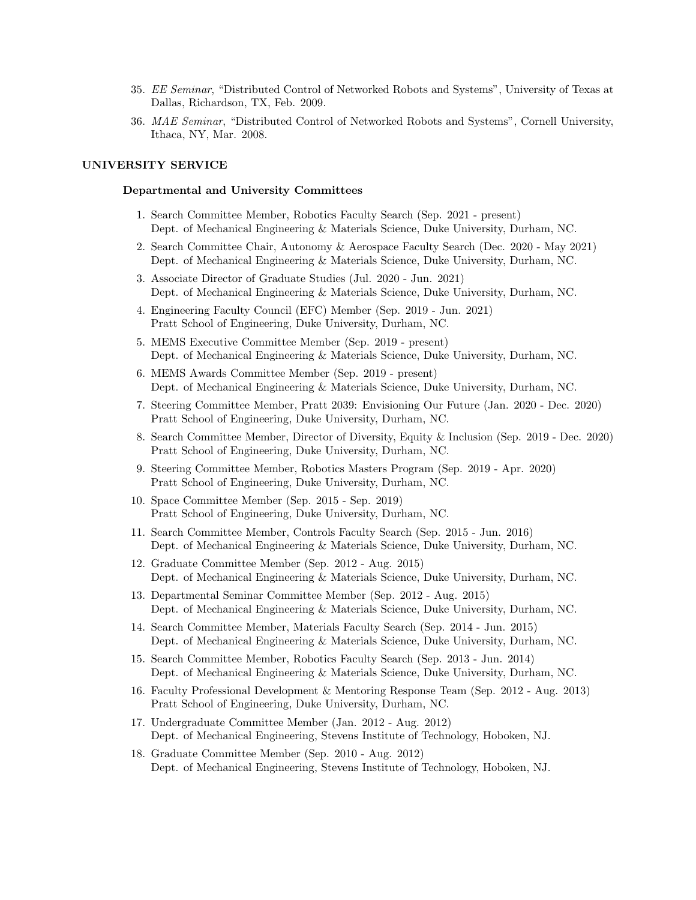- 35. EE Seminar, "Distributed Control of Networked Robots and Systems", University of Texas at Dallas, Richardson, TX, Feb. 2009.
- 36. MAE Seminar, "Distributed Control of Networked Robots and Systems", Cornell University, Ithaca, NY, Mar. 2008.

## UNIVERSITY SERVICE

#### Departmental and University Committees

- 1. Search Committee Member, Robotics Faculty Search (Sep. 2021 present) Dept. of Mechanical Engineering & Materials Science, Duke University, Durham, NC.
- 2. Search Committee Chair, Autonomy & Aerospace Faculty Search (Dec. 2020 May 2021) Dept. of Mechanical Engineering & Materials Science, Duke University, Durham, NC.
- 3. Associate Director of Graduate Studies (Jul. 2020 Jun. 2021) Dept. of Mechanical Engineering & Materials Science, Duke University, Durham, NC.
- 4. Engineering Faculty Council (EFC) Member (Sep. 2019 Jun. 2021) Pratt School of Engineering, Duke University, Durham, NC.
- 5. MEMS Executive Committee Member (Sep. 2019 present) Dept. of Mechanical Engineering & Materials Science, Duke University, Durham, NC.
- 6. MEMS Awards Committee Member (Sep. 2019 present) Dept. of Mechanical Engineering & Materials Science, Duke University, Durham, NC.
- 7. Steering Committee Member, Pratt 2039: Envisioning Our Future (Jan. 2020 Dec. 2020) Pratt School of Engineering, Duke University, Durham, NC.
- 8. Search Committee Member, Director of Diversity, Equity & Inclusion (Sep. 2019 Dec. 2020) Pratt School of Engineering, Duke University, Durham, NC.
- 9. Steering Committee Member, Robotics Masters Program (Sep. 2019 Apr. 2020) Pratt School of Engineering, Duke University, Durham, NC.
- 10. Space Committee Member (Sep. 2015 Sep. 2019) Pratt School of Engineering, Duke University, Durham, NC.
- 11. Search Committee Member, Controls Faculty Search (Sep. 2015 Jun. 2016) Dept. of Mechanical Engineering & Materials Science, Duke University, Durham, NC.
- 12. Graduate Committee Member (Sep. 2012 Aug. 2015) Dept. of Mechanical Engineering & Materials Science, Duke University, Durham, NC.
- 13. Departmental Seminar Committee Member (Sep. 2012 Aug. 2015) Dept. of Mechanical Engineering & Materials Science, Duke University, Durham, NC.
- 14. Search Committee Member, Materials Faculty Search (Sep. 2014 Jun. 2015) Dept. of Mechanical Engineering & Materials Science, Duke University, Durham, NC.
- 15. Search Committee Member, Robotics Faculty Search (Sep. 2013 Jun. 2014) Dept. of Mechanical Engineering & Materials Science, Duke University, Durham, NC.
- 16. Faculty Professional Development & Mentoring Response Team (Sep. 2012 Aug. 2013) Pratt School of Engineering, Duke University, Durham, NC.
- 17. Undergraduate Committee Member (Jan. 2012 Aug. 2012) Dept. of Mechanical Engineering, Stevens Institute of Technology, Hoboken, NJ.
- 18. Graduate Committee Member (Sep. 2010 Aug. 2012) Dept. of Mechanical Engineering, Stevens Institute of Technology, Hoboken, NJ.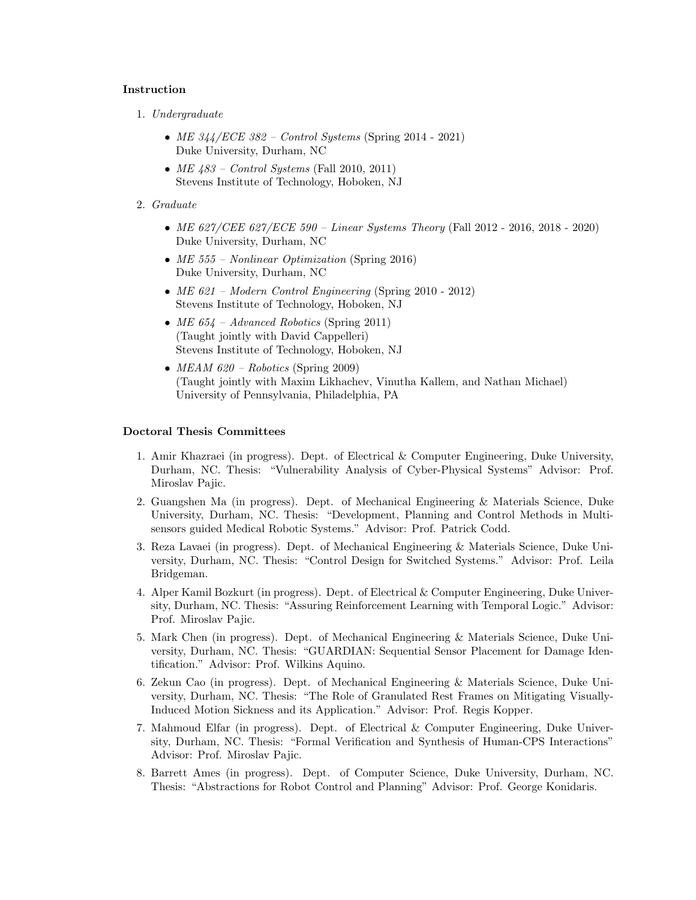## Instruction

- 1. Undergraduate
	- ME  $344/ECE$  382 Control Systems (Spring 2014 2021) Duke University, Durham, NC
	- $ME$  483 Control Systems (Fall 2010, 2011) Stevens Institute of Technology, Hoboken, NJ
- 2. Graduate
	- ME 627/CEE 627/ECE 590 Linear Systems Theory (Fall 2012 2016, 2018 2020) Duke University, Durham, NC
	- ME 555 Nonlinear Optimization (Spring 2016) Duke University, Durham, NC
	- ME 621 Modern Control Engineering (Spring 2010 2012) Stevens Institute of Technology, Hoboken, NJ
	- ME  $654$  Advanced Robotics (Spring 2011) (Taught jointly with David Cappelleri) Stevens Institute of Technology, Hoboken, NJ
	- $MEAM 620 Robotics$  (Spring 2009) (Taught jointly with Maxim Likhachev, Vinutha Kallem, and Nathan Michael) University of Pennsylvania, Philadelphia, PA

## Doctoral Thesis Committees

- 1. Amir Khazraei (in progress). Dept. of Electrical & Computer Engineering, Duke University, Durham, NC. Thesis: "Vulnerability Analysis of Cyber-Physical Systems" Advisor: Prof. Miroslav Pajic.
- 2. Guangshen Ma (in progress). Dept. of Mechanical Engineering & Materials Science, Duke University, Durham, NC. Thesis: "Development, Planning and Control Methods in Multisensors guided Medical Robotic Systems." Advisor: Prof. Patrick Codd.
- 3. Reza Lavaei (in progress). Dept. of Mechanical Engineering & Materials Science, Duke University, Durham, NC. Thesis: "Control Design for Switched Systems." Advisor: Prof. Leila Bridgeman.
- 4. Alper Kamil Bozkurt (in progress). Dept. of Electrical & Computer Engineering, Duke University, Durham, NC. Thesis: "Assuring Reinforcement Learning with Temporal Logic." Advisor: Prof. Miroslav Pajic.
- 5. Mark Chen (in progress). Dept. of Mechanical Engineering & Materials Science, Duke University, Durham, NC. Thesis: "GUARDIAN: Sequential Sensor Placement for Damage Identification." Advisor: Prof. Wilkins Aquino.
- 6. Zekun Cao (in progress). Dept. of Mechanical Engineering & Materials Science, Duke University, Durham, NC. Thesis: "The Role of Granulated Rest Frames on Mitigating Visually-Induced Motion Sickness and its Application." Advisor: Prof. Regis Kopper.
- 7. Mahmoud Elfar (in progress). Dept. of Electrical & Computer Engineering, Duke University, Durham, NC. Thesis: "Formal Verification and Synthesis of Human-CPS Interactions" Advisor: Prof. Miroslav Pajic.
- 8. Barrett Ames (in progress). Dept. of Computer Science, Duke University, Durham, NC. Thesis: "Abstractions for Robot Control and Planning" Advisor: Prof. George Konidaris.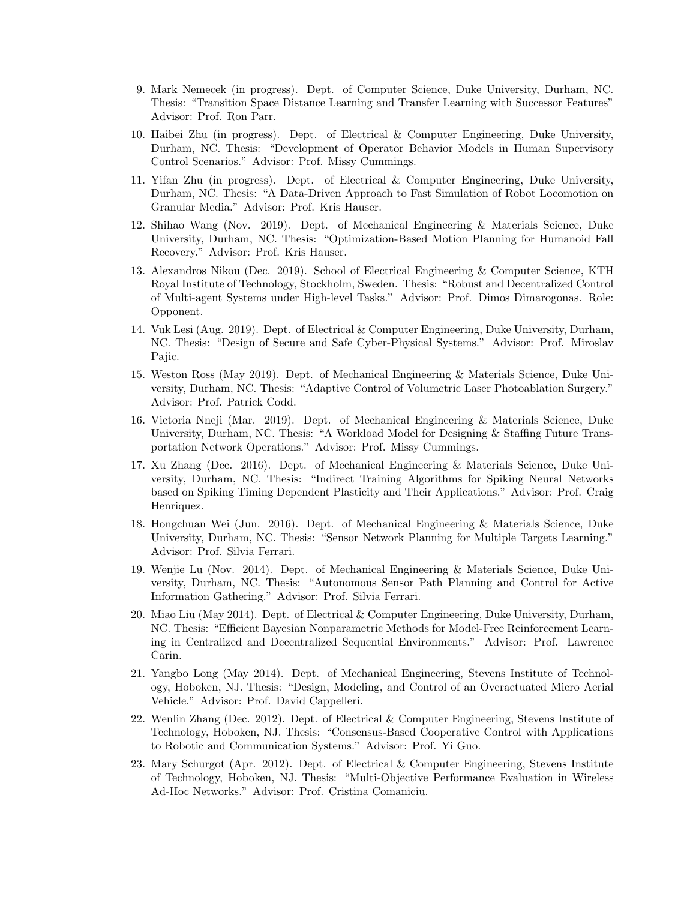- 9. Mark Nemecek (in progress). Dept. of Computer Science, Duke University, Durham, NC. Thesis: "Transition Space Distance Learning and Transfer Learning with Successor Features" Advisor: Prof. Ron Parr.
- 10. Haibei Zhu (in progress). Dept. of Electrical & Computer Engineering, Duke University, Durham, NC. Thesis: "Development of Operator Behavior Models in Human Supervisory Control Scenarios." Advisor: Prof. Missy Cummings.
- 11. Yifan Zhu (in progress). Dept. of Electrical & Computer Engineering, Duke University, Durham, NC. Thesis: "A Data-Driven Approach to Fast Simulation of Robot Locomotion on Granular Media." Advisor: Prof. Kris Hauser.
- 12. Shihao Wang (Nov. 2019). Dept. of Mechanical Engineering & Materials Science, Duke University, Durham, NC. Thesis: "Optimization-Based Motion Planning for Humanoid Fall Recovery." Advisor: Prof. Kris Hauser.
- 13. Alexandros Nikou (Dec. 2019). School of Electrical Engineering & Computer Science, KTH Royal Institute of Technology, Stockholm, Sweden. Thesis: "Robust and Decentralized Control of Multi-agent Systems under High-level Tasks." Advisor: Prof. Dimos Dimarogonas. Role: Opponent.
- 14. Vuk Lesi (Aug. 2019). Dept. of Electrical & Computer Engineering, Duke University, Durham, NC. Thesis: "Design of Secure and Safe Cyber-Physical Systems." Advisor: Prof. Miroslav Pajic.
- 15. Weston Ross (May 2019). Dept. of Mechanical Engineering & Materials Science, Duke University, Durham, NC. Thesis: "Adaptive Control of Volumetric Laser Photoablation Surgery." Advisor: Prof. Patrick Codd.
- 16. Victoria Nneji (Mar. 2019). Dept. of Mechanical Engineering & Materials Science, Duke University, Durham, NC. Thesis: "A Workload Model for Designing & Staffing Future Transportation Network Operations." Advisor: Prof. Missy Cummings.
- 17. Xu Zhang (Dec. 2016). Dept. of Mechanical Engineering & Materials Science, Duke University, Durham, NC. Thesis: "Indirect Training Algorithms for Spiking Neural Networks based on Spiking Timing Dependent Plasticity and Their Applications." Advisor: Prof. Craig Henriquez.
- 18. Hongchuan Wei (Jun. 2016). Dept. of Mechanical Engineering & Materials Science, Duke University, Durham, NC. Thesis: "Sensor Network Planning for Multiple Targets Learning." Advisor: Prof. Silvia Ferrari.
- 19. Wenjie Lu (Nov. 2014). Dept. of Mechanical Engineering & Materials Science, Duke University, Durham, NC. Thesis: "Autonomous Sensor Path Planning and Control for Active Information Gathering." Advisor: Prof. Silvia Ferrari.
- 20. Miao Liu (May 2014). Dept. of Electrical & Computer Engineering, Duke University, Durham, NC. Thesis: "Efficient Bayesian Nonparametric Methods for Model-Free Reinforcement Learning in Centralized and Decentralized Sequential Environments." Advisor: Prof. Lawrence Carin.
- 21. Yangbo Long (May 2014). Dept. of Mechanical Engineering, Stevens Institute of Technology, Hoboken, NJ. Thesis: "Design, Modeling, and Control of an Overactuated Micro Aerial Vehicle." Advisor: Prof. David Cappelleri.
- 22. Wenlin Zhang (Dec. 2012). Dept. of Electrical & Computer Engineering, Stevens Institute of Technology, Hoboken, NJ. Thesis: "Consensus-Based Cooperative Control with Applications to Robotic and Communication Systems." Advisor: Prof. Yi Guo.
- 23. Mary Schurgot (Apr. 2012). Dept. of Electrical & Computer Engineering, Stevens Institute of Technology, Hoboken, NJ. Thesis: "Multi-Objective Performance Evaluation in Wireless Ad-Hoc Networks." Advisor: Prof. Cristina Comaniciu.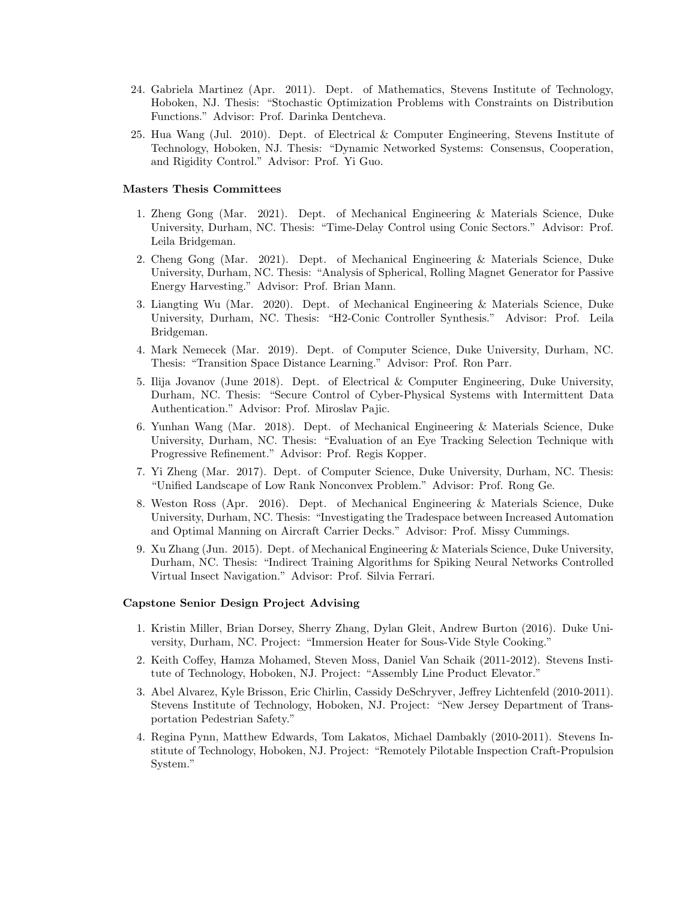- 24. Gabriela Martinez (Apr. 2011). Dept. of Mathematics, Stevens Institute of Technology, Hoboken, NJ. Thesis: "Stochastic Optimization Problems with Constraints on Distribution Functions." Advisor: Prof. Darinka Dentcheva.
- 25. Hua Wang (Jul. 2010). Dept. of Electrical & Computer Engineering, Stevens Institute of Technology, Hoboken, NJ. Thesis: "Dynamic Networked Systems: Consensus, Cooperation, and Rigidity Control." Advisor: Prof. Yi Guo.

## Masters Thesis Committees

- 1. Zheng Gong (Mar. 2021). Dept. of Mechanical Engineering & Materials Science, Duke University, Durham, NC. Thesis: "Time-Delay Control using Conic Sectors." Advisor: Prof. Leila Bridgeman.
- 2. Cheng Gong (Mar. 2021). Dept. of Mechanical Engineering & Materials Science, Duke University, Durham, NC. Thesis: "Analysis of Spherical, Rolling Magnet Generator for Passive Energy Harvesting." Advisor: Prof. Brian Mann.
- 3. Liangting Wu (Mar. 2020). Dept. of Mechanical Engineering & Materials Science, Duke University, Durham, NC. Thesis: "H2-Conic Controller Synthesis." Advisor: Prof. Leila Bridgeman.
- 4. Mark Nemecek (Mar. 2019). Dept. of Computer Science, Duke University, Durham, NC. Thesis: "Transition Space Distance Learning." Advisor: Prof. Ron Parr.
- 5. Ilija Jovanov (June 2018). Dept. of Electrical & Computer Engineering, Duke University, Durham, NC. Thesis: "Secure Control of Cyber-Physical Systems with Intermittent Data Authentication." Advisor: Prof. Miroslav Pajic.
- 6. Yunhan Wang (Mar. 2018). Dept. of Mechanical Engineering & Materials Science, Duke University, Durham, NC. Thesis: "Evaluation of an Eye Tracking Selection Technique with Progressive Refinement." Advisor: Prof. Regis Kopper.
- 7. Yi Zheng (Mar. 2017). Dept. of Computer Science, Duke University, Durham, NC. Thesis: "Unified Landscape of Low Rank Nonconvex Problem." Advisor: Prof. Rong Ge.
- 8. Weston Ross (Apr. 2016). Dept. of Mechanical Engineering & Materials Science, Duke University, Durham, NC. Thesis: "Investigating the Tradespace between Increased Automation and Optimal Manning on Aircraft Carrier Decks." Advisor: Prof. Missy Cummings.
- 9. Xu Zhang (Jun. 2015). Dept. of Mechanical Engineering & Materials Science, Duke University, Durham, NC. Thesis: "Indirect Training Algorithms for Spiking Neural Networks Controlled Virtual Insect Navigation." Advisor: Prof. Silvia Ferrari.

## Capstone Senior Design Project Advising

- 1. Kristin Miller, Brian Dorsey, Sherry Zhang, Dylan Gleit, Andrew Burton (2016). Duke University, Durham, NC. Project: "Immersion Heater for Sous-Vide Style Cooking."
- 2. Keith Coffey, Hamza Mohamed, Steven Moss, Daniel Van Schaik (2011-2012). Stevens Institute of Technology, Hoboken, NJ. Project: "Assembly Line Product Elevator."
- 3. Abel Alvarez, Kyle Brisson, Eric Chirlin, Cassidy DeSchryver, Jeffrey Lichtenfeld (2010-2011). Stevens Institute of Technology, Hoboken, NJ. Project: "New Jersey Department of Transportation Pedestrian Safety."
- 4. Regina Pynn, Matthew Edwards, Tom Lakatos, Michael Dambakly (2010-2011). Stevens Institute of Technology, Hoboken, NJ. Project: "Remotely Pilotable Inspection Craft-Propulsion System."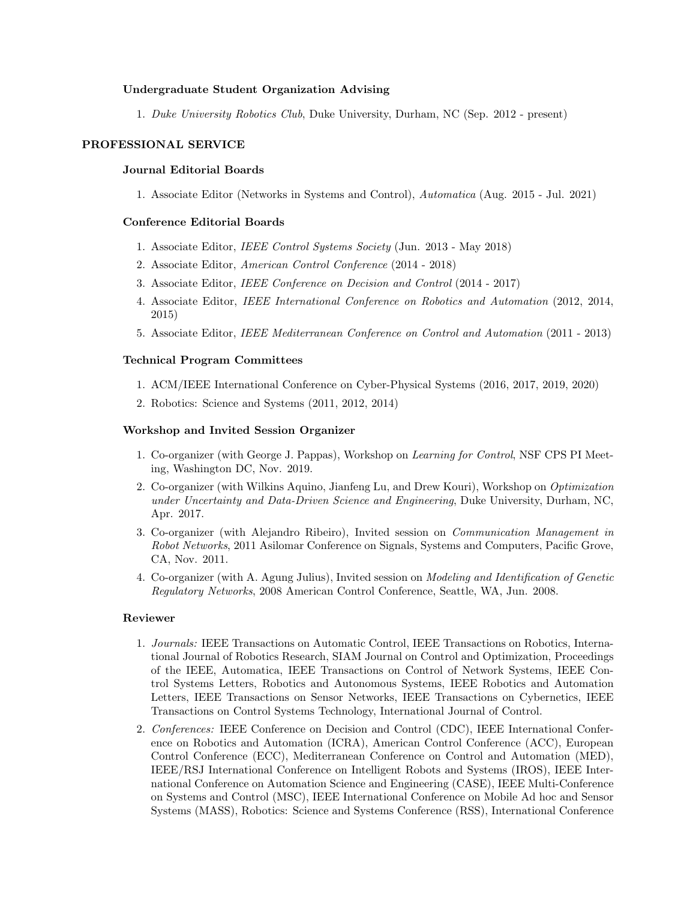## Undergraduate Student Organization Advising

1. Duke University Robotics Club, Duke University, Durham, NC (Sep. 2012 - present)

## PROFESSIONAL SERVICE

#### Journal Editorial Boards

1. Associate Editor (Networks in Systems and Control), Automatica (Aug. 2015 - Jul. 2021)

## Conference Editorial Boards

- 1. Associate Editor, IEEE Control Systems Society (Jun. 2013 May 2018)
- 2. Associate Editor, American Control Conference (2014 2018)
- 3. Associate Editor, IEEE Conference on Decision and Control (2014 2017)
- 4. Associate Editor, IEEE International Conference on Robotics and Automation (2012, 2014, 2015)
- 5. Associate Editor, IEEE Mediterranean Conference on Control and Automation (2011 2013)

#### Technical Program Committees

- 1. ACM/IEEE International Conference on Cyber-Physical Systems (2016, 2017, 2019, 2020)
- 2. Robotics: Science and Systems (2011, 2012, 2014)

### Workshop and Invited Session Organizer

- 1. Co-organizer (with George J. Pappas), Workshop on Learning for Control, NSF CPS PI Meeting, Washington DC, Nov. 2019.
- 2. Co-organizer (with Wilkins Aquino, Jianfeng Lu, and Drew Kouri), Workshop on Optimization under Uncertainty and Data-Driven Science and Engineering, Duke University, Durham, NC, Apr. 2017.
- 3. Co-organizer (with Alejandro Ribeiro), Invited session on Communication Management in Robot Networks, 2011 Asilomar Conference on Signals, Systems and Computers, Pacific Grove, CA, Nov. 2011.
- 4. Co-organizer (with A. Agung Julius), Invited session on Modeling and Identification of Genetic Regulatory Networks, 2008 American Control Conference, Seattle, WA, Jun. 2008.

## Reviewer

- 1. Journals: IEEE Transactions on Automatic Control, IEEE Transactions on Robotics, International Journal of Robotics Research, SIAM Journal on Control and Optimization, Proceedings of the IEEE, Automatica, IEEE Transactions on Control of Network Systems, IEEE Control Systems Letters, Robotics and Autonomous Systems, IEEE Robotics and Automation Letters, IEEE Transactions on Sensor Networks, IEEE Transactions on Cybernetics, IEEE Transactions on Control Systems Technology, International Journal of Control.
- 2. Conferences: IEEE Conference on Decision and Control (CDC), IEEE International Conference on Robotics and Automation (ICRA), American Control Conference (ACC), European Control Conference (ECC), Mediterranean Conference on Control and Automation (MED), IEEE/RSJ International Conference on Intelligent Robots and Systems (IROS), IEEE International Conference on Automation Science and Engineering (CASE), IEEE Multi-Conference on Systems and Control (MSC), IEEE International Conference on Mobile Ad hoc and Sensor Systems (MASS), Robotics: Science and Systems Conference (RSS), International Conference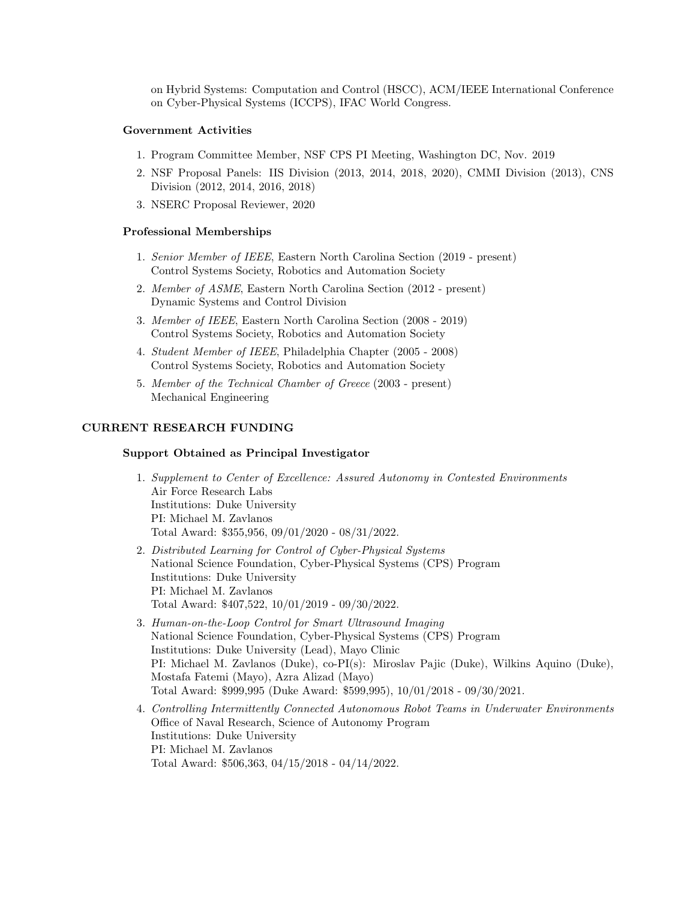on Hybrid Systems: Computation and Control (HSCC), ACM/IEEE International Conference on Cyber-Physical Systems (ICCPS), IFAC World Congress.

# Government Activities

- 1. Program Committee Member, NSF CPS PI Meeting, Washington DC, Nov. 2019
- 2. NSF Proposal Panels: IIS Division (2013, 2014, 2018, 2020), CMMI Division (2013), CNS Division (2012, 2014, 2016, 2018)
- 3. NSERC Proposal Reviewer, 2020

## Professional Memberships

- 1. Senior Member of IEEE, Eastern North Carolina Section (2019 present) Control Systems Society, Robotics and Automation Society
- 2. Member of ASME, Eastern North Carolina Section (2012 present) Dynamic Systems and Control Division
- 3. Member of IEEE, Eastern North Carolina Section (2008 2019) Control Systems Society, Robotics and Automation Society
- 4. Student Member of IEEE, Philadelphia Chapter (2005 2008) Control Systems Society, Robotics and Automation Society
- 5. Member of the Technical Chamber of Greece (2003 present) Mechanical Engineering

## CURRENT RESEARCH FUNDING

## Support Obtained as Principal Investigator

- 1. Supplement to Center of Excellence: Assured Autonomy in Contested Environments Air Force Research Labs Institutions: Duke University PI: Michael M. Zavlanos Total Award: \$355,956, 09/01/2020 - 08/31/2022.
- 2. Distributed Learning for Control of Cyber-Physical Systems National Science Foundation, Cyber-Physical Systems (CPS) Program Institutions: Duke University PI: Michael M. Zavlanos Total Award: \$407,522, 10/01/2019 - 09/30/2022.
- 3. Human-on-the-Loop Control for Smart Ultrasound Imaging National Science Foundation, Cyber-Physical Systems (CPS) Program Institutions: Duke University (Lead), Mayo Clinic PI: Michael M. Zavlanos (Duke), co-PI(s): Miroslav Pajic (Duke), Wilkins Aquino (Duke), Mostafa Fatemi (Mayo), Azra Alizad (Mayo) Total Award: \$999,995 (Duke Award: \$599,995), 10/01/2018 - 09/30/2021.
- 4. Controlling Intermittently Connected Autonomous Robot Teams in Underwater Environments Office of Naval Research, Science of Autonomy Program Institutions: Duke University PI: Michael M. Zavlanos Total Award: \$506,363, 04/15/2018 - 04/14/2022.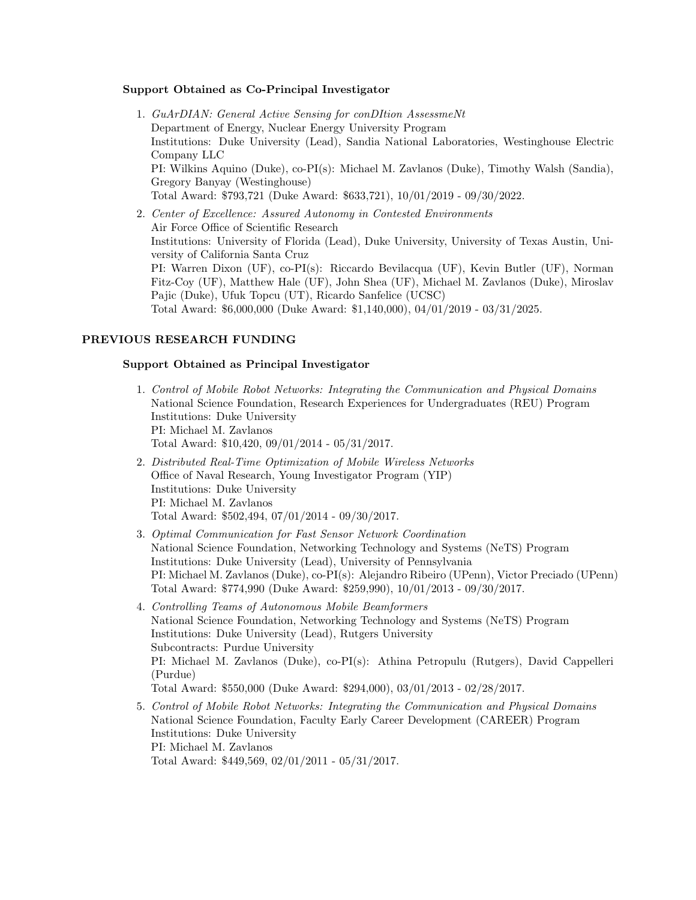## Support Obtained as Co-Principal Investigator

- 1. GuArDIAN: General Active Sensing for conDItion AssessmeNt Department of Energy, Nuclear Energy University Program Institutions: Duke University (Lead), Sandia National Laboratories, Westinghouse Electric Company LLC PI: Wilkins Aquino (Duke), co-PI(s): Michael M. Zavlanos (Duke), Timothy Walsh (Sandia), Gregory Banyay (Westinghouse) Total Award: \$793,721 (Duke Award: \$633,721), 10/01/2019 - 09/30/2022.
- 2. Center of Excellence: Assured Autonomy in Contested Environments Air Force Office of Scientific Research Institutions: University of Florida (Lead), Duke University, University of Texas Austin, University of California Santa Cruz PI: Warren Dixon (UF), co-PI(s): Riccardo Bevilacqua (UF), Kevin Butler (UF), Norman Fitz-Coy (UF), Matthew Hale (UF), John Shea (UF), Michael M. Zavlanos (Duke), Miroslav Pajic (Duke), Ufuk Topcu (UT), Ricardo Sanfelice (UCSC) Total Award: \$6,000,000 (Duke Award: \$1,140,000), 04/01/2019 - 03/31/2025.

# PREVIOUS RESEARCH FUNDING

## Support Obtained as Principal Investigator

- 1. Control of Mobile Robot Networks: Integrating the Communication and Physical Domains National Science Foundation, Research Experiences for Undergraduates (REU) Program Institutions: Duke University PI: Michael M. Zavlanos Total Award: \$10,420, 09/01/2014 - 05/31/2017.
- 2. Distributed Real-Time Optimization of Mobile Wireless Networks Office of Naval Research, Young Investigator Program (YIP) Institutions: Duke University PI: Michael M. Zavlanos Total Award: \$502,494, 07/01/2014 - 09/30/2017.
- 3. Optimal Communication for Fast Sensor Network Coordination National Science Foundation, Networking Technology and Systems (NeTS) Program Institutions: Duke University (Lead), University of Pennsylvania PI: Michael M. Zavlanos (Duke), co-PI(s): Alejandro Ribeiro (UPenn), Victor Preciado (UPenn) Total Award: \$774,990 (Duke Award: \$259,990), 10/01/2013 - 09/30/2017.
- 4. Controlling Teams of Autonomous Mobile Beamformers National Science Foundation, Networking Technology and Systems (NeTS) Program Institutions: Duke University (Lead), Rutgers University Subcontracts: Purdue University PI: Michael M. Zavlanos (Duke), co-PI(s): Athina Petropulu (Rutgers), David Cappelleri (Purdue) Total Award: \$550,000 (Duke Award: \$294,000), 03/01/2013 - 02/28/2017.
- 5. Control of Mobile Robot Networks: Integrating the Communication and Physical Domains National Science Foundation, Faculty Early Career Development (CAREER) Program Institutions: Duke University PI: Michael M. Zavlanos Total Award: \$449,569, 02/01/2011 - 05/31/2017.